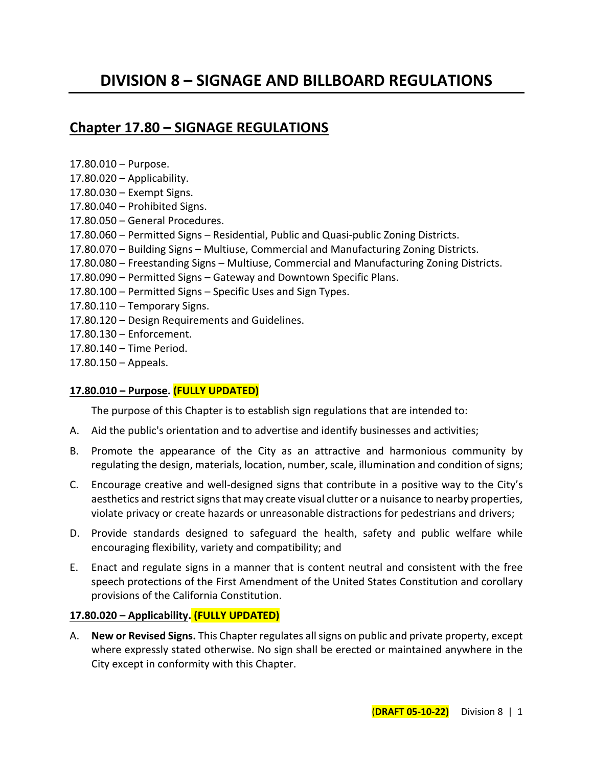# **DIVISION 8 – SIGNAGE AND BILLBOARD REGULATIONS**

## **Chapter 17.80 – SIGNAGE REGULATIONS**

 $17.80.010 - \text{D}$ 

| $11.00.010 - F$ ul pusc.                                                                  |
|-------------------------------------------------------------------------------------------|
| 17.80.020 - Applicability.                                                                |
| 17.80.030 - Exempt Signs.                                                                 |
| 17.80.040 - Prohibited Signs.                                                             |
| 17.80.050 - General Procedures.                                                           |
| 17.80.060 - Permitted Signs - Residential, Public and Quasi-public Zoning Districts.      |
| 17.80.070 – Building Signs – Multiuse, Commercial and Manufacturing Zoning Districts.     |
| 17.80.080 – Freestanding Signs – Multiuse, Commercial and Manufacturing Zoning Districts. |
| 17.80.090 – Permitted Signs – Gateway and Downtown Specific Plans.                        |
| 17.80.100 – Permitted Signs – Specific Uses and Sign Types.                               |
| $17.80.110 - Temporary Signals.$                                                          |
| 17.80.120 – Design Requirements and Guidelines.                                           |
| 17.80.130 - Enforcement.                                                                  |
| 17.80.140 - Time Period.                                                                  |
| $17.80.150 -$ Appeals.                                                                    |
|                                                                                           |

#### **17.80.010 – Purpose. (FULLY UPDATED)**

The purpose of this Chapter is to establish sign regulations that are intended to:

- A. Aid the public's orientation and to advertise and identify businesses and activities;
- B. Promote the appearance of the City as an attractive and harmonious community by regulating the design, materials, location, number, scale, illumination and condition of signs;
- C. Encourage creative and well-designed signs that contribute in a positive way to the City's aesthetics and restrict signs that may create visual clutter or a nuisance to nearby properties, violate privacy or create hazards or unreasonable distractions for pedestrians and drivers;
- D. Provide standards designed to safeguard the health, safety and public welfare while encouraging flexibility, variety and compatibility; and
- E. Enact and regulate signs in a manner that is content neutral and consistent with the free speech protections of the First Amendment of the United States Constitution and corollary provisions of the California Constitution.

#### **17.80.020 – Applicability. (FULLY UPDATED)**

A. **New or Revised Signs.** This Chapter regulates all signs on public and private property, except where expressly stated otherwise. No sign shall be erected or maintained anywhere in the City except in conformity with this Chapter.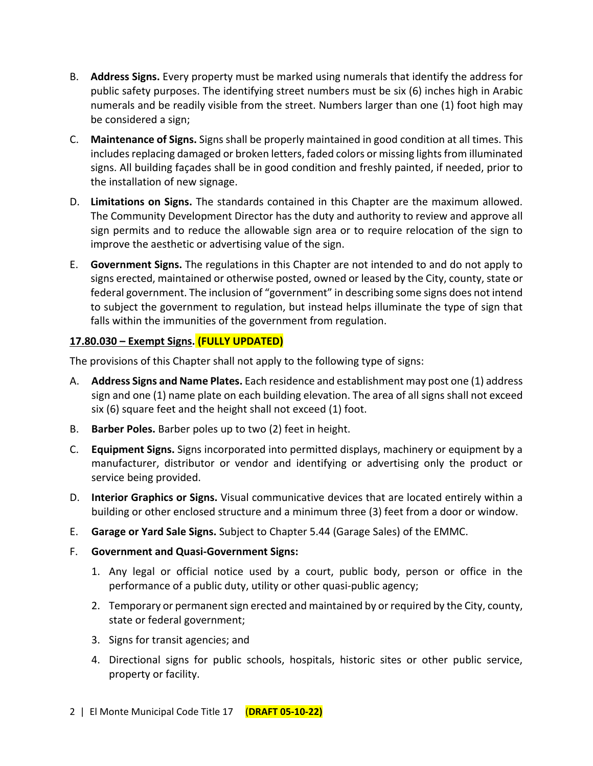- B. **Address Signs.** Every property must be marked using numerals that identify the address for public safety purposes. The identifying street numbers must be six (6) inches high in Arabic numerals and be readily visible from the street. Numbers larger than one (1) foot high may be considered a sign;
- C. **Maintenance of Signs.** Signs shall be properly maintained in good condition at all times. This includes replacing damaged or broken letters, faded colors or missing lights from illuminated signs. All building façades shall be in good condition and freshly painted, if needed, prior to the installation of new signage.
- D. **Limitations on Signs.** The standards contained in this Chapter are the maximum allowed. The Community Development Director has the duty and authority to review and approve all sign permits and to reduce the allowable sign area or to require relocation of the sign to improve the aesthetic or advertising value of the sign.
- E. **Government Signs.** The regulations in this Chapter are not intended to and do not apply to signs erected, maintained or otherwise posted, owned or leased by the City, county, state or federal government. The inclusion of "government" in describing some signs does not intend to subject the government to regulation, but instead helps illuminate the type of sign that falls within the immunities of the government from regulation.

## **17.80.030 – Exempt Signs. (FULLY UPDATED)**

The provisions of this Chapter shall not apply to the following type of signs:

- A. **Address Signs and Name Plates.** Each residence and establishment may post one (1) address sign and one (1) name plate on each building elevation. The area of all signs shall not exceed six (6) square feet and the height shall not exceed (1) foot.
- B. **Barber Poles.** Barber poles up to two (2) feet in height.
- C. **Equipment Signs.** Signs incorporated into permitted displays, machinery or equipment by a manufacturer, distributor or vendor and identifying or advertising only the product or service being provided.
- D. **Interior Graphics or Signs.** Visual communicative devices that are located entirely within a building or other enclosed structure and a minimum three (3) feet from a door or window.
- E. **Garage or Yard Sale Signs.** Subject to Chapter 5.44 (Garage Sales) of the EMMC.
- F. **Government and Quasi-Government Signs:**
	- 1. Any legal or official notice used by a court, public body, person or office in the performance of a public duty, utility or other quasi-public agency;
	- 2. Temporary or permanent sign erected and maintained by or required by the City, county, state or federal government;
	- 3. Signs for transit agencies; and
	- 4. Directional signs for public schools, hospitals, historic sites or other public service, property or facility.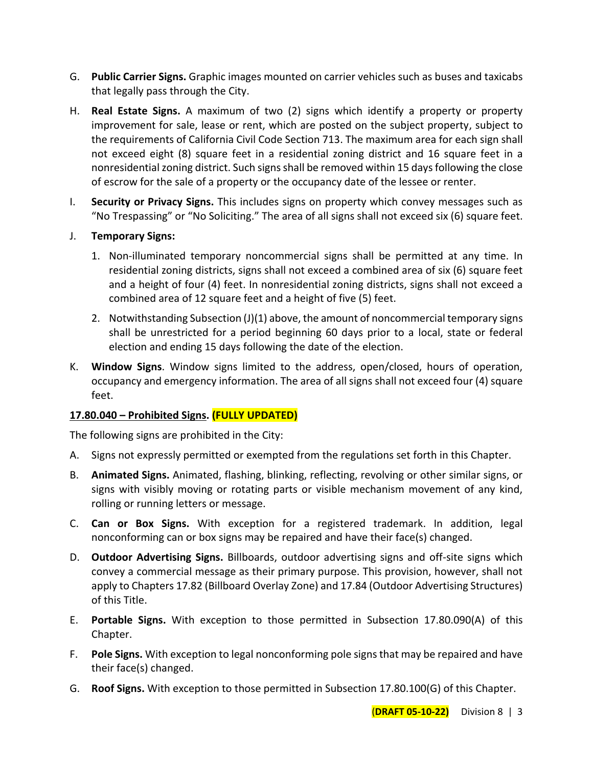- G. **Public Carrier Signs.** Graphic images mounted on carrier vehicles such as buses and taxicabs that legally pass through the City.
- H. **Real Estate Signs.** A maximum of two (2) signs which identify a property or property improvement for sale, lease or rent, which are posted on the subject property, subject to the requirements of California Civil Code Section 713. The maximum area for each sign shall not exceed eight (8) square feet in a residential zoning district and 16 square feet in a nonresidential zoning district. Such signsshall be removed within 15 days following the close of escrow for the sale of a property or the occupancy date of the lessee or renter.
- I. **Security or Privacy Signs.** This includes signs on property which convey messages such as "No Trespassing" or "No Soliciting." The area of all signs shall not exceed six (6) square feet.
- J. **Temporary Signs:**
	- 1. Non-illuminated temporary noncommercial signs shall be permitted at any time. In residential zoning districts, signs shall not exceed a combined area of six (6) square feet and a height of four (4) feet. In nonresidential zoning districts, signs shall not exceed a combined area of 12 square feet and a height of five (5) feet.
	- 2. Notwithstanding Subsection (J)(1) above, the amount of noncommercial temporary signs shall be unrestricted for a period beginning 60 days prior to a local, state or federal election and ending 15 days following the date of the election.
- K. **Window Signs**. Window signs limited to the address, open/closed, hours of operation, occupancy and emergency information. The area of all signs shall not exceed four (4) square feet.

## **17.80.040 – Prohibited Signs. (FULLY UPDATED)**

The following signs are prohibited in the City:

- A. Signs not expressly permitted or exempted from the regulations set forth in this Chapter.
- B. **Animated Signs.** Animated, flashing, blinking, reflecting, revolving or other similar signs, or signs with visibly moving or rotating parts or visible mechanism movement of any kind, rolling or running letters or message.
- C. **Can or Box Signs.** With exception for a registered trademark. In addition, legal nonconforming can or box signs may be repaired and have their face(s) changed.
- D. **Outdoor Advertising Signs.** Billboards, outdoor advertising signs and off-site signs which convey a commercial message as their primary purpose. This provision, however, shall not apply to Chapters 17.82 (Billboard Overlay Zone) and 17.84 (Outdoor Advertising Structures) of this Title.
- E. **Portable Signs.** With exception to those permitted in Subsection 17.80.090(A) of this Chapter.
- F. **Pole Signs.** With exception to legal nonconforming pole signs that may be repaired and have their face(s) changed.
- G. **Roof Signs.** With exception to those permitted in Subsection 17.80.100(G) of this Chapter.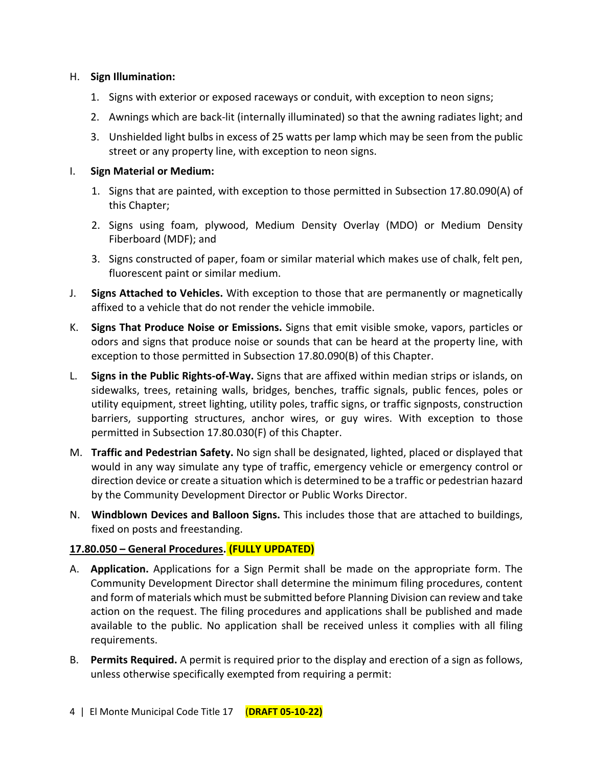#### H. **Sign Illumination:**

- 1. Signs with exterior or exposed raceways or conduit, with exception to neon signs;
- 2. Awnings which are back-lit (internally illuminated) so that the awning radiates light; and
- 3. Unshielded light bulbs in excess of 25 watts per lamp which may be seen from the public street or any property line, with exception to neon signs.

## I. **Sign Material or Medium:**

- 1. Signs that are painted, with exception to those permitted in Subsection 17.80.090(A) of this Chapter;
- 2. Signs using foam, plywood, Medium Density Overlay (MDO) or Medium Density Fiberboard (MDF); and
- 3. Signs constructed of paper, foam or similar material which makes use of chalk, felt pen, fluorescent paint or similar medium.
- J. **Signs Attached to Vehicles.** With exception to those that are permanently or magnetically affixed to a vehicle that do not render the vehicle immobile.
- K. **Signs That Produce Noise or Emissions.** Signs that emit visible smoke, vapors, particles or odors and signs that produce noise or sounds that can be heard at the property line, with exception to those permitted in Subsection 17.80.090(B) of this Chapter.
- L. **Signs in the Public Rights-of-Way.** Signs that are affixed within median strips or islands, on sidewalks, trees, retaining walls, bridges, benches, traffic signals, public fences, poles or utility equipment, street lighting, utility poles, traffic signs, or traffic signposts, construction barriers, supporting structures, anchor wires, or guy wires. With exception to those permitted in Subsection 17.80.030(F) of this Chapter.
- M. **Traffic and Pedestrian Safety.** No sign shall be designated, lighted, placed or displayed that would in any way simulate any type of traffic, emergency vehicle or emergency control or direction device or create a situation which is determined to be a traffic or pedestrian hazard by the Community Development Director or Public Works Director.
- N. **Windblown Devices and Balloon Signs.** This includes those that are attached to buildings, fixed on posts and freestanding.

## **17.80.050 – General Procedures. (FULLY UPDATED)**

- A. **Application.** Applications for a Sign Permit shall be made on the appropriate form. The Community Development Director shall determine the minimum filing procedures, content and form of materials which must be submitted before Planning Division can review and take action on the request. The filing procedures and applications shall be published and made available to the public. No application shall be received unless it complies with all filing requirements.
- B. **Permits Required.** A permit is required prior to the display and erection of a sign as follows, unless otherwise specifically exempted from requiring a permit: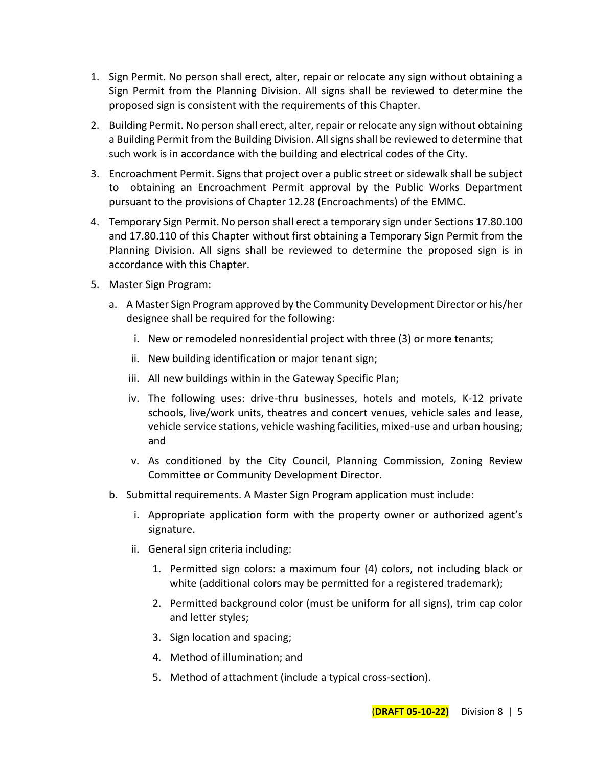- 1. Sign Permit. No person shall erect, alter, repair or relocate any sign without obtaining a Sign Permit from the Planning Division. All signs shall be reviewed to determine the proposed sign is consistent with the requirements of this Chapter.
- 2. Building Permit. No person shall erect, alter, repair or relocate any sign without obtaining a Building Permit from the Building Division. All signsshall be reviewed to determine that such work is in accordance with the building and electrical codes of the City.
- 3. Encroachment Permit. Signs that project over a public street or sidewalk shall be subject to obtaining an Encroachment Permit approval by the Public Works Department pursuant to the provisions of Chapter 12.28 (Encroachments) of the EMMC.
- 4. Temporary Sign Permit. No person shall erect a temporary sign under Sections 17.80.100 and 17.80.110 of this Chapter without first obtaining a Temporary Sign Permit from the Planning Division. All signs shall be reviewed to determine the proposed sign is in accordance with this Chapter.
- 5. Master Sign Program:
	- a. A Master Sign Program approved by the Community Development Director or his/her designee shall be required for the following:
		- i. New or remodeled nonresidential project with three (3) or more tenants;
		- ii. New building identification or major tenant sign;
		- iii. All new buildings within in the Gateway Specific Plan;
		- iv. The following uses: drive-thru businesses, hotels and motels, K-12 private schools, live/work units, theatres and concert venues, vehicle sales and lease, vehicle service stations, vehicle washing facilities, mixed-use and urban housing; and
		- v. As conditioned by the City Council, Planning Commission, Zoning Review Committee or Community Development Director.
	- b. Submittal requirements. A Master Sign Program application must include:
		- i. Appropriate application form with the property owner or authorized agent's signature.
		- ii. General sign criteria including:
			- 1. Permitted sign colors: a maximum four (4) colors, not including black or white (additional colors may be permitted for a registered trademark);
			- 2. Permitted background color (must be uniform for all signs), trim cap color and letter styles;
			- 3. Sign location and spacing;
			- 4. Method of illumination; and
			- 5. Method of attachment (include a typical cross-section).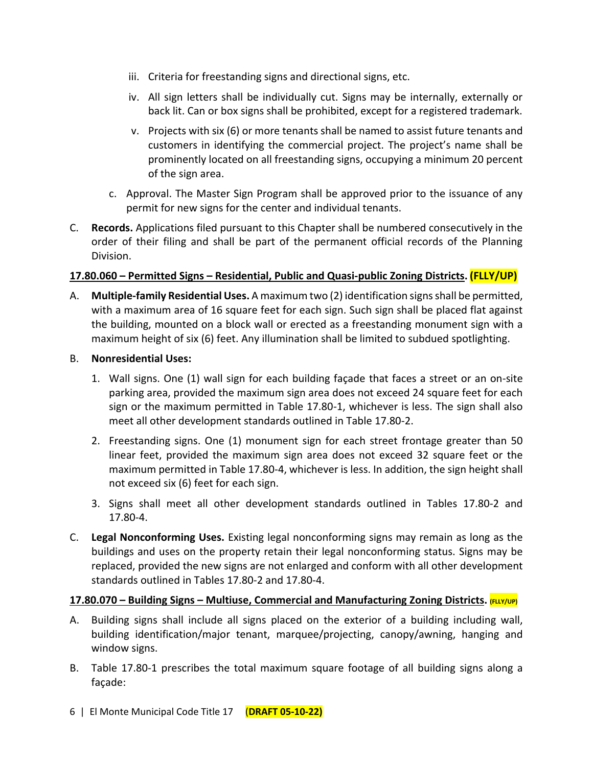- iii. Criteria for freestanding signs and directional signs, etc.
- iv. All sign letters shall be individually cut. Signs may be internally, externally or back lit. Can or box signs shall be prohibited, except for a registered trademark.
- v. Projects with six (6) or more tenants shall be named to assist future tenants and customers in identifying the commercial project. The project's name shall be prominently located on all freestanding signs, occupying a minimum 20 percent of the sign area.
- c. Approval. The Master Sign Program shall be approved prior to the issuance of any permit for new signs for the center and individual tenants.
- C. **Records.** Applications filed pursuant to this Chapter shall be numbered consecutively in the order of their filing and shall be part of the permanent official records of the Planning Division.

## **17.80.060 – Permitted Signs – Residential, Public and Quasi-public Zoning Districts. (FLLY/UP)**

A. **Multiple-family Residential Uses.** A maximum two (2) identification signs shall be permitted, with a maximum area of 16 square feet for each sign. Such sign shall be placed flat against the building, mounted on a block wall or erected as a freestanding monument sign with a maximum height of six (6) feet. Any illumination shall be limited to subdued spotlighting.

#### B. **Nonresidential Uses:**

- 1. Wall signs. One (1) wall sign for each building façade that faces a street or an on-site parking area, provided the maximum sign area does not exceed 24 square feet for each sign or the maximum permitted in Table 17.80-1, whichever is less. The sign shall also meet all other development standards outlined in Table 17.80-2.
- 2. Freestanding signs. One (1) monument sign for each street frontage greater than 50 linear feet, provided the maximum sign area does not exceed 32 square feet or the maximum permitted in Table 17.80-4, whichever is less. In addition, the sign height shall not exceed six (6) feet for each sign.
- 3. Signs shall meet all other development standards outlined in Tables 17.80-2 and 17.80-4.
- C. **Legal Nonconforming Uses.** Existing legal nonconforming signs may remain as long as the buildings and uses on the property retain their legal nonconforming status. Signs may be replaced, provided the new signs are not enlarged and conform with all other development standards outlined in Tables 17.80-2 and 17.80-4.

#### **17.80.070 – Building Signs – Multiuse, Commercial and Manufacturing Zoning Districts. (FLLY/UP)**

- A. Building signs shall include all signs placed on the exterior of a building including wall, building identification/major tenant, marquee/projecting, canopy/awning, hanging and window signs.
- B. Table 17.80-1 prescribes the total maximum square footage of all building signs along a façade: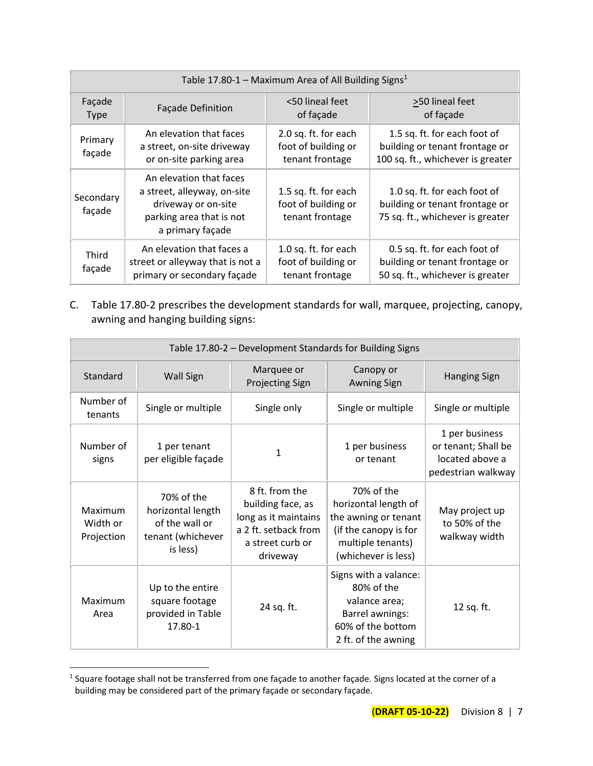| Table 17.80-1 – Maximum Area of All Building Signs <sup>1</sup> |                                                                                                                               |                                                                |                                                                                                     |
|-----------------------------------------------------------------|-------------------------------------------------------------------------------------------------------------------------------|----------------------------------------------------------------|-----------------------------------------------------------------------------------------------------|
| Façade<br><b>Type</b>                                           | <b>Façade Definition</b>                                                                                                      | <50 lineal feet<br>of façade                                   | >50 lineal feet<br>of façade                                                                        |
| Primary<br>façade                                               | An elevation that faces<br>a street, on-site driveway<br>or on-site parking area                                              | 2.0 sq. ft. for each<br>foot of building or<br>tenant frontage | 1.5 sq. ft. for each foot of<br>building or tenant frontage or<br>100 sq. ft., whichever is greater |
| Secondary<br>façade                                             | An elevation that faces<br>a street, alleyway, on-site<br>driveway or on-site<br>parking area that is not<br>a primary façade | 1.5 sq. ft. for each<br>foot of building or<br>tenant frontage | 1.0 sq. ft. for each foot of<br>building or tenant frontage or<br>75 sq. ft., whichever is greater  |
| Third<br>façade                                                 | An elevation that faces a<br>street or alleyway that is not a<br>primary or secondary façade                                  | 1.0 sq. ft. for each<br>foot of building or<br>tenant frontage | 0.5 sq. ft. for each foot of<br>building or tenant frontage or<br>50 sq. ft., whichever is greater  |

C. Table 17.80-2 prescribes the development standards for wall, marquee, projecting, canopy, awning and hanging building signs:

| Table 17.80-2 - Development Standards for Building Signs |                                                                                    |                                                                                                                     |                                                                                                                                 |                                                                                |
|----------------------------------------------------------|------------------------------------------------------------------------------------|---------------------------------------------------------------------------------------------------------------------|---------------------------------------------------------------------------------------------------------------------------------|--------------------------------------------------------------------------------|
| Standard                                                 | <b>Wall Sign</b>                                                                   | Marquee or<br><b>Projecting Sign</b>                                                                                | Canopy or<br><b>Awning Sign</b>                                                                                                 | <b>Hanging Sign</b>                                                            |
| Number of<br>tenants                                     | Single or multiple                                                                 | Single only                                                                                                         | Single or multiple                                                                                                              | Single or multiple                                                             |
| Number of<br>signs                                       | 1 per tenant<br>per eligible façade                                                | 1                                                                                                                   | 1 per business<br>or tenant                                                                                                     | 1 per business<br>or tenant; Shall be<br>located above a<br>pedestrian walkway |
| Maximum<br>Width or<br>Projection                        | 70% of the<br>horizontal length<br>of the wall or<br>tenant (whichever<br>is less) | 8 ft. from the<br>building face, as<br>long as it maintains<br>a 2 ft. setback from<br>a street curb or<br>driveway | 70% of the<br>horizontal length of<br>the awning or tenant<br>(if the canopy is for<br>multiple tenants)<br>(whichever is less) | May project up<br>to 50% of the<br>walkway width                               |
| Maximum<br>Area                                          | Up to the entire<br>square footage<br>provided in Table<br>17.80-1                 | 24 sq. ft.                                                                                                          | Signs with a valance:<br>80% of the<br>valance area;<br>Barrel awnings:<br>60% of the bottom<br>2 ft. of the awning             | 12 sq. ft.                                                                     |

<sup>1</sup> Square footage shall not be transferred from one façade to another façade. Signs located at the corner of a building may be considered part of the primary façade or secondary façade.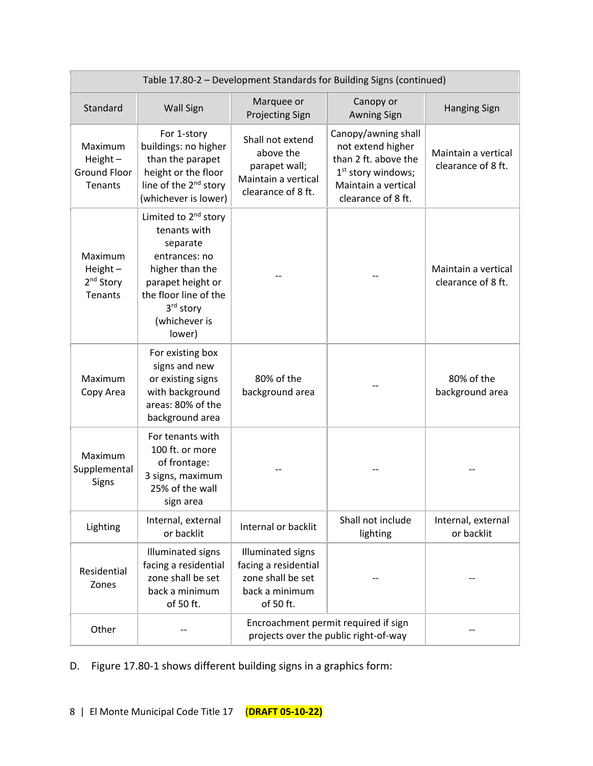| Table 17.80-2 - Development Standards for Building Signs (continued) |                                                                                                                                                                                        |                                                                                                      |                                                                                                                                       |                                           |
|----------------------------------------------------------------------|----------------------------------------------------------------------------------------------------------------------------------------------------------------------------------------|------------------------------------------------------------------------------------------------------|---------------------------------------------------------------------------------------------------------------------------------------|-------------------------------------------|
| Standard                                                             | <b>Wall Sign</b>                                                                                                                                                                       | Marquee or<br><b>Projecting Sign</b>                                                                 | Canopy or<br><b>Awning Sign</b>                                                                                                       | <b>Hanging Sign</b>                       |
| Maximum<br>Height $-$<br><b>Ground Floor</b><br>Tenants              | For 1-story<br>buildings: no higher<br>than the parapet<br>height or the floor<br>line of the 2 <sup>nd</sup> story<br>(whichever is lower)                                            | Shall not extend<br>above the<br>parapet wall;<br>Maintain a vertical<br>clearance of 8 ft.          | Canopy/awning shall<br>not extend higher<br>than 2 ft. above the<br>$1st$ story windows;<br>Maintain a vertical<br>clearance of 8 ft. | Maintain a vertical<br>clearance of 8 ft. |
| Maximum<br>Height $-$<br>2 <sup>nd</sup> Story<br><b>Tenants</b>     | Limited to 2 <sup>nd</sup> story<br>tenants with<br>separate<br>entrances: no<br>higher than the<br>parapet height or<br>the floor line of the<br>3rd story<br>(whichever is<br>lower) |                                                                                                      |                                                                                                                                       | Maintain a vertical<br>clearance of 8 ft. |
| Maximum<br>Copy Area                                                 | For existing box<br>signs and new<br>or existing signs<br>with background<br>areas: 80% of the<br>background area                                                                      | 80% of the<br>background area                                                                        |                                                                                                                                       | 80% of the<br>background area             |
| Maximum<br>Supplemental<br>Signs                                     | For tenants with<br>100 ft. or more<br>of frontage:<br>3 signs, maximum<br>25% of the wall<br>sign area                                                                                |                                                                                                      |                                                                                                                                       |                                           |
| Lighting                                                             | Internal, external<br>or backlit                                                                                                                                                       | Internal or backlit                                                                                  | Shall not include<br>lighting                                                                                                         | Internal, external<br>or backlit          |
| Residential<br>Zones                                                 | <b>Illuminated signs</b><br>facing a residential<br>zone shall be set<br>back a minimum<br>of 50 ft.                                                                                   | <b>Illuminated signs</b><br>facing a residential<br>zone shall be set<br>back a minimum<br>of 50 ft. |                                                                                                                                       |                                           |
| Other                                                                |                                                                                                                                                                                        | Encroachment permit required if sign<br>projects over the public right-of-way                        |                                                                                                                                       |                                           |

D. Figure 17.80-1 shows different building signs in a graphics form: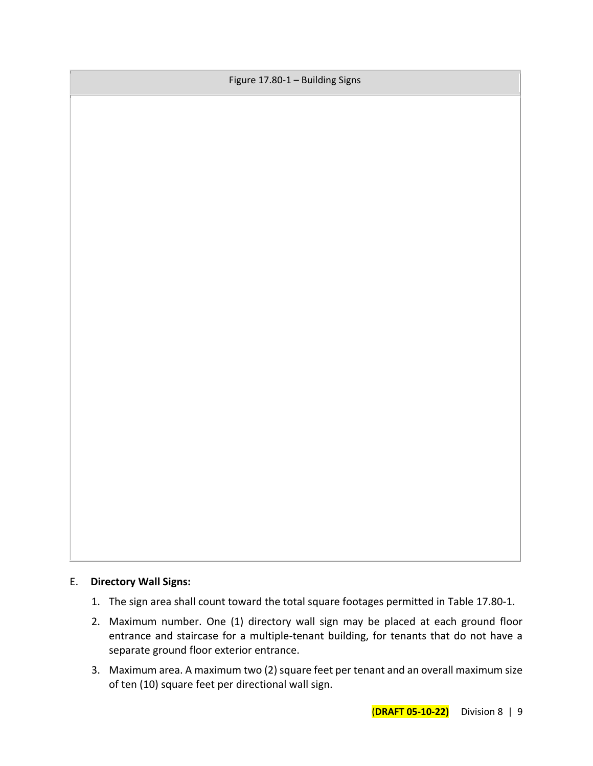Figure 17.80-1 – Building Signs

## E. **Directory Wall Signs:**

- 1. The sign area shall count toward the total square footages permitted in Table 17.80-1.
- 2. Maximum number. One (1) directory wall sign may be placed at each ground floor entrance and staircase for a multiple-tenant building, for tenants that do not have a separate ground floor exterior entrance.
- 3. Maximum area. A maximum two (2) square feet per tenant and an overall maximum size of ten (10) square feet per directional wall sign.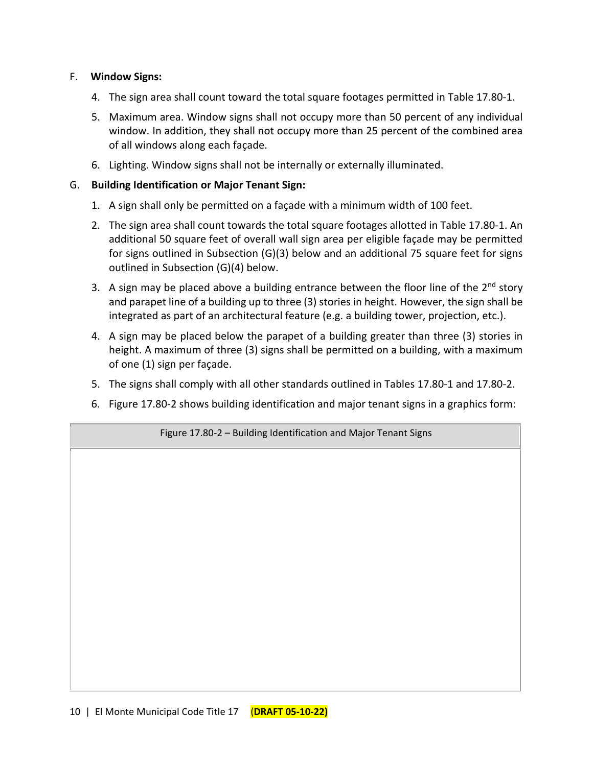## F. **Window Signs:**

- 4. The sign area shall count toward the total square footages permitted in Table 17.80-1.
- 5. Maximum area. Window signs shall not occupy more than 50 percent of any individual window. In addition, they shall not occupy more than 25 percent of the combined area of all windows along each façade.
- 6. Lighting. Window signs shall not be internally or externally illuminated.

#### G. **Building Identification or Major Tenant Sign:**

- 1. A sign shall only be permitted on a façade with a minimum width of 100 feet.
- 2. The sign area shall count towards the total square footages allotted in Table 17.80-1. An additional 50 square feet of overall wall sign area per eligible façade may be permitted for signs outlined in Subsection (G)(3) below and an additional 75 square feet for signs outlined in Subsection (G)(4) below.
- 3. A sign may be placed above a building entrance between the floor line of the  $2^{nd}$  story and parapet line of a building up to three (3) stories in height. However, the sign shall be integrated as part of an architectural feature (e.g. a building tower, projection, etc.).
- 4. A sign may be placed below the parapet of a building greater than three (3) stories in height. A maximum of three (3) signs shall be permitted on a building, with a maximum of one (1) sign per façade.
- 5. The signs shall comply with all other standards outlined in Tables 17.80-1 and 17.80-2.
- 6. Figure 17.80-2 shows building identification and major tenant signs in a graphics form:

Figure 17.80-2 – Building Identification and Major Tenant Signs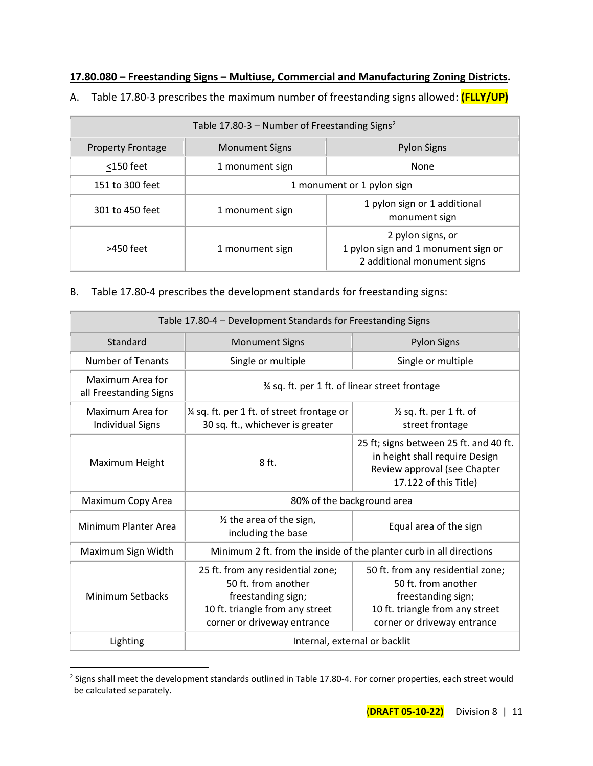## **17.80.080 – Freestanding Signs – Multiuse, Commercial and Manufacturing Zoning Districts.**

A. Table 17.80-3 prescribes the maximum number of freestanding signs allowed: **(FLLY/UP)**

| Table 17.80-3 – Number of Freestanding Signs <sup>2</sup> |                            |                                                                                         |  |
|-----------------------------------------------------------|----------------------------|-----------------------------------------------------------------------------------------|--|
| <b>Property Frontage</b>                                  | <b>Monument Signs</b>      | <b>Pylon Signs</b>                                                                      |  |
| $<$ 150 feet                                              | 1 monument sign            | None                                                                                    |  |
| 151 to 300 feet                                           | 1 monument or 1 pylon sign |                                                                                         |  |
| 301 to 450 feet                                           | 1 monument sign            | 1 pylon sign or 1 additional<br>monument sign                                           |  |
| >450 feet                                                 | 1 monument sign            | 2 pylon signs, or<br>1 pylon sign and 1 monument sign or<br>2 additional monument signs |  |

B. Table 17.80-4 prescribes the development standards for freestanding signs:

| Table 17.80-4 - Development Standards for Freestanding Signs |                                                                                                                                                  |                                                                                                                                                  |  |
|--------------------------------------------------------------|--------------------------------------------------------------------------------------------------------------------------------------------------|--------------------------------------------------------------------------------------------------------------------------------------------------|--|
| Standard                                                     | <b>Monument Signs</b>                                                                                                                            | <b>Pylon Signs</b>                                                                                                                               |  |
| <b>Number of Tenants</b>                                     | Single or multiple                                                                                                                               | Single or multiple                                                                                                                               |  |
| Maximum Area for<br>all Freestanding Signs                   | % sq. ft. per 1 ft. of linear street frontage                                                                                                    |                                                                                                                                                  |  |
| Maximum Area for<br><b>Individual Signs</b>                  | 1/4 sq. ft. per 1 ft. of street frontage or<br>30 sq. ft., whichever is greater                                                                  | $\frac{1}{2}$ sq. ft. per 1 ft. of<br>street frontage                                                                                            |  |
| Maximum Height                                               | 8 ft.                                                                                                                                            | 25 ft; signs between 25 ft. and 40 ft.<br>in height shall require Design<br>Review approval (see Chapter<br>17.122 of this Title)                |  |
| Maximum Copy Area                                            | 80% of the background area                                                                                                                       |                                                                                                                                                  |  |
| Minimum Planter Area                                         | 1/2 the area of the sign,<br>Equal area of the sign<br>including the base                                                                        |                                                                                                                                                  |  |
| Maximum Sign Width                                           | Minimum 2 ft. from the inside of the planter curb in all directions                                                                              |                                                                                                                                                  |  |
| <b>Minimum Setbacks</b>                                      | 25 ft. from any residential zone;<br>50 ft. from another<br>freestanding sign;<br>10 ft. triangle from any street<br>corner or driveway entrance | 50 ft. from any residential zone;<br>50 ft. from another<br>freestanding sign;<br>10 ft. triangle from any street<br>corner or driveway entrance |  |
| Lighting                                                     | Internal, external or backlit                                                                                                                    |                                                                                                                                                  |  |

<sup>&</sup>lt;sup>2</sup> Signs shall meet the development standards outlined in Table 17.80-4. For corner properties, each street would be calculated separately.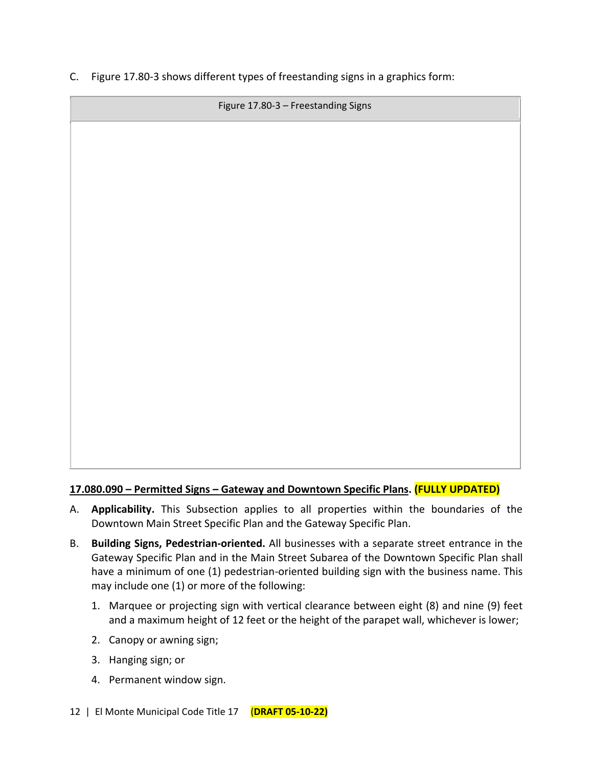C. Figure 17.80-3 shows different types of freestanding signs in a graphics form:

Figure 17.80-3 – Freestanding Signs

## **17.080.090 – Permitted Signs – Gateway and Downtown Specific Plans. (FULLY UPDATED)**

- A. **Applicability.** This Subsection applies to all properties within the boundaries of the Downtown Main Street Specific Plan and the Gateway Specific Plan.
- B. **Building Signs, Pedestrian-oriented.** All businesses with a separate street entrance in the Gateway Specific Plan and in the Main Street Subarea of the Downtown Specific Plan shall have a minimum of one (1) pedestrian-oriented building sign with the business name. This may include one (1) or more of the following:
	- 1. Marquee or projecting sign with vertical clearance between eight (8) and nine (9) feet and a maximum height of 12 feet or the height of the parapet wall, whichever is lower;
	- 2. Canopy or awning sign;
	- 3. Hanging sign; or
	- 4. Permanent window sign.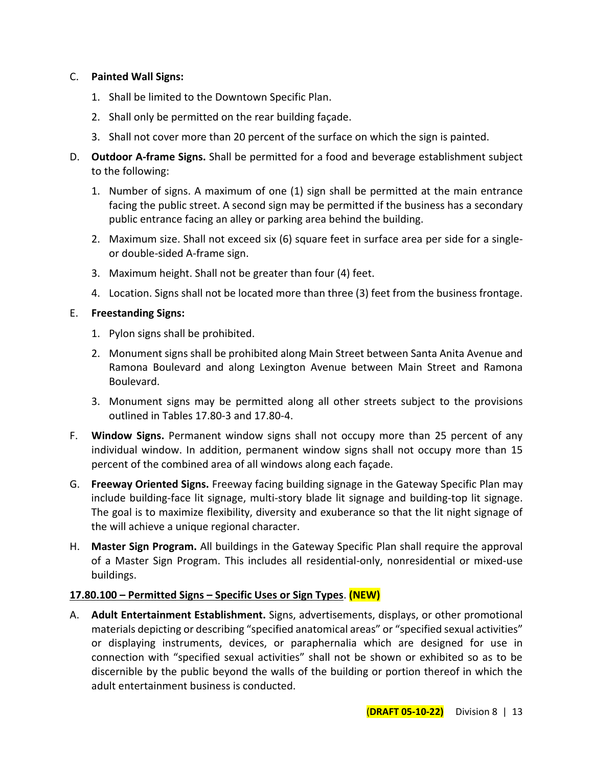## C. **Painted Wall Signs:**

- 1. Shall be limited to the Downtown Specific Plan.
- 2. Shall only be permitted on the rear building façade.
- 3. Shall not cover more than 20 percent of the surface on which the sign is painted.
- D. **Outdoor A-frame Signs.** Shall be permitted for a food and beverage establishment subject to the following:
	- 1. Number of signs. A maximum of one (1) sign shall be permitted at the main entrance facing the public street. A second sign may be permitted if the business has a secondary public entrance facing an alley or parking area behind the building.
	- 2. Maximum size. Shall not exceed six (6) square feet in surface area per side for a singleor double-sided A-frame sign.
	- 3. Maximum height. Shall not be greater than four (4) feet.
	- 4. Location. Signs shall not be located more than three (3) feet from the business frontage.

## E. **Freestanding Signs:**

- 1. Pylon signs shall be prohibited.
- 2. Monument signs shall be prohibited along Main Street between Santa Anita Avenue and Ramona Boulevard and along Lexington Avenue between Main Street and Ramona Boulevard.
- 3. Monument signs may be permitted along all other streets subject to the provisions outlined in Tables 17.80-3 and 17.80-4.
- F. **Window Signs.** Permanent window signs shall not occupy more than 25 percent of any individual window. In addition, permanent window signs shall not occupy more than 15 percent of the combined area of all windows along each façade.
- G. **Freeway Oriented Signs.** Freeway facing building signage in the Gateway Specific Plan may include building-face lit signage, multi-story blade lit signage and building-top lit signage. The goal is to maximize flexibility, diversity and exuberance so that the lit night signage of the will achieve a unique regional character.
- H. **Master Sign Program.** All buildings in the Gateway Specific Plan shall require the approval of a Master Sign Program. This includes all residential-only, nonresidential or mixed-use buildings.

## **17.80.100 – Permitted Signs – Specific Uses or Sign Types**. **(NEW)**

A. **Adult Entertainment Establishment.** Signs, advertisements, displays, or other promotional materials depicting or describing "specified anatomical areas" or "specified sexual activities" or displaying instruments, devices, or paraphernalia which are designed for use in connection with "specified sexual activities" shall not be shown or exhibited so as to be discernible by the public beyond the walls of the building or portion thereof in which the adult entertainment business is conducted.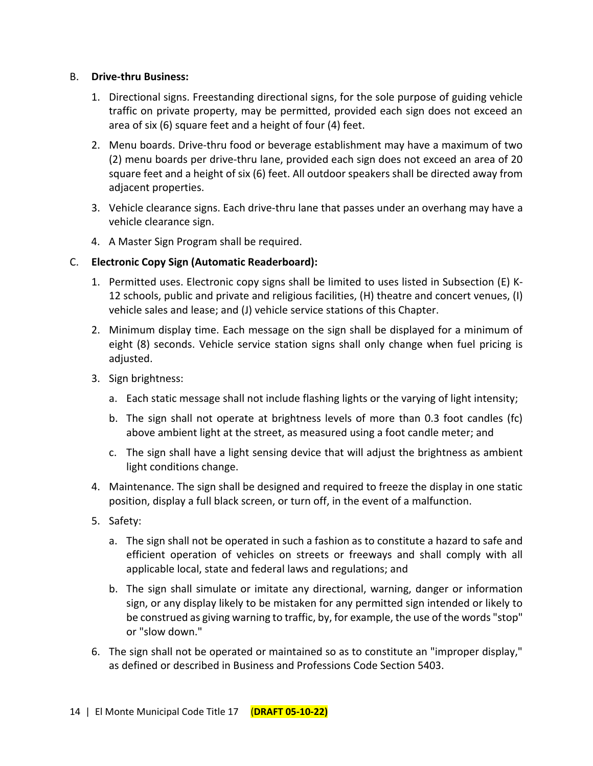#### B. **Drive-thru Business:**

- 1. Directional signs. Freestanding directional signs, for the sole purpose of guiding vehicle traffic on private property, may be permitted, provided each sign does not exceed an area of six (6) square feet and a height of four (4) feet.
- 2. Menu boards. Drive-thru food or beverage establishment may have a maximum of two (2) menu boards per drive-thru lane, provided each sign does not exceed an area of 20 square feet and a height of six (6) feet. All outdoor speakers shall be directed away from adjacent properties.
- 3. Vehicle clearance signs. Each drive-thru lane that passes under an overhang may have a vehicle clearance sign.
- 4. A Master Sign Program shall be required.

## C. **Electronic Copy Sign (Automatic Readerboard):**

- 1. Permitted uses. Electronic copy signs shall be limited to uses listed in Subsection (E) K-12 schools, public and private and religious facilities, (H) theatre and concert venues, (I) vehicle sales and lease; and (J) vehicle service stations of this Chapter.
- 2. Minimum display time. Each message on the sign shall be displayed for a minimum of eight (8) seconds. Vehicle service station signs shall only change when fuel pricing is adjusted.
- 3. Sign brightness:
	- a. Each static message shall not include flashing lights or the varying of light intensity;
	- b. The sign shall not operate at brightness levels of more than 0.3 foot candles (fc) above ambient light at the street, as measured using a foot candle meter; and
	- c. The sign shall have a light sensing device that will adjust the brightness as ambient light conditions change.
- 4. Maintenance. The sign shall be designed and required to freeze the display in one static position, display a full black screen, or turn off, in the event of a malfunction.
- 5. Safety:
	- a. The sign shall not be operated in such a fashion as to constitute a hazard to safe and efficient operation of vehicles on streets or freeways and shall comply with all applicable local, state and federal laws and regulations; and
	- b. The sign shall simulate or imitate any directional, warning, danger or information sign, or any display likely to be mistaken for any permitted sign intended or likely to be construed as giving warning to traffic, by, for example, the use of the words "stop" or "slow down."
- 6. The sign shall not be operated or maintained so as to constitute an "improper display," as defined or described in Business and Professions Code Section 5403.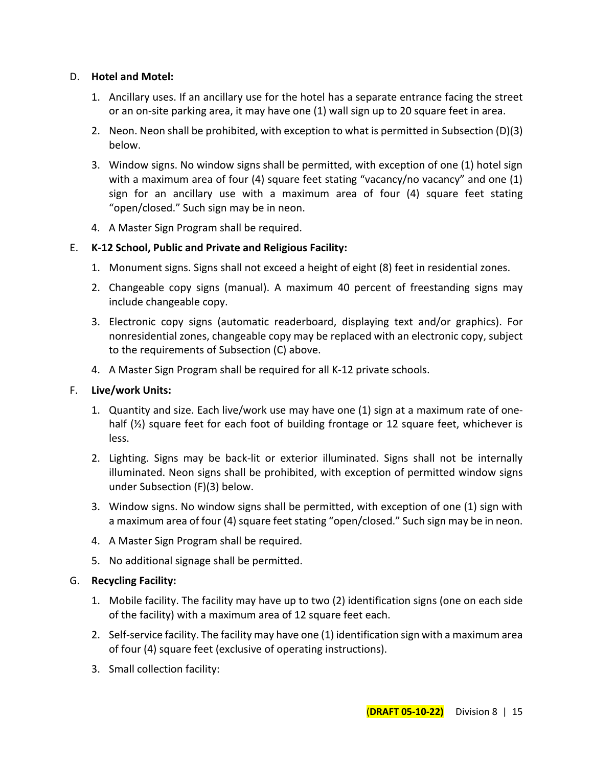#### D. **Hotel and Motel:**

- 1. Ancillary uses. If an ancillary use for the hotel has a separate entrance facing the street or an on-site parking area, it may have one (1) wall sign up to 20 square feet in area.
- 2. Neon. Neon shall be prohibited, with exception to what is permitted in Subsection (D)(3) below.
- 3. Window signs. No window signs shall be permitted, with exception of one (1) hotel sign with a maximum area of four (4) square feet stating "vacancy' no vacancy" and one (1) sign for an ancillary use with a maximum area of four (4) square feet stating "open/closed." Such sign may be in neon.
- 4. A Master Sign Program shall be required.

## E. **K-12 School, Public and Private and Religious Facility:**

- 1. Monument signs. Signs shall not exceed a height of eight (8) feet in residential zones.
- 2. Changeable copy signs (manual). A maximum 40 percent of freestanding signs may include changeable copy.
- 3. Electronic copy signs (automatic readerboard, displaying text and/or graphics). For nonresidential zones, changeable copy may be replaced with an electronic copy, subject to the requirements of Subsection (C) above.
- 4. A Master Sign Program shall be required for all K-12 private schools.

#### F. **Live/work Units:**

- 1. Quantity and size. Each live/work use may have one (1) sign at a maximum rate of onehalf  $(\frac{1}{2})$  square feet for each foot of building frontage or 12 square feet, whichever is less.
- 2. Lighting. Signs may be back-lit or exterior illuminated. Signs shall not be internally illuminated. Neon signs shall be prohibited, with exception of permitted window signs under Subsection (F)(3) below.
- 3. Window signs. No window signs shall be permitted, with exception of one (1) sign with a maximum area of four (4) square feet stating "open/closed." Such sign may be in neon.
- 4. A Master Sign Program shall be required.
- 5. No additional signage shall be permitted.

#### G. **Recycling Facility:**

- 1. Mobile facility. The facility may have up to two (2) identification signs (one on each side of the facility) with a maximum area of 12 square feet each.
- 2. Self-service facility. The facility may have one (1) identification sign with a maximum area of four (4) square feet (exclusive of operating instructions).
- 3. Small collection facility: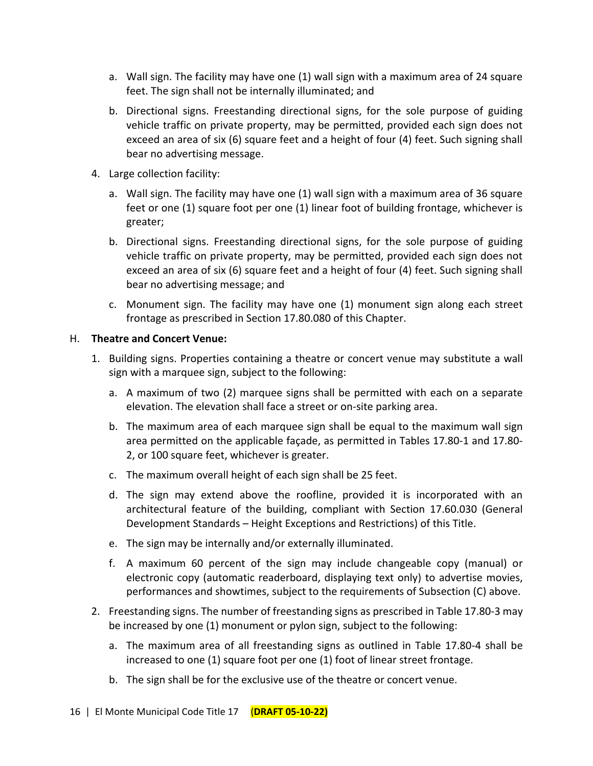- a. Wall sign. The facility may have one (1) wall sign with a maximum area of 24 square feet. The sign shall not be internally illuminated; and
- b. Directional signs. Freestanding directional signs, for the sole purpose of guiding vehicle traffic on private property, may be permitted, provided each sign does not exceed an area of six (6) square feet and a height of four (4) feet. Such signing shall bear no advertising message.
- 4. Large collection facility:
	- a. Wall sign. The facility may have one (1) wall sign with a maximum area of 36 square feet or one (1) square foot per one (1) linear foot of building frontage, whichever is greater;
	- b. Directional signs. Freestanding directional signs, for the sole purpose of guiding vehicle traffic on private property, may be permitted, provided each sign does not exceed an area of six (6) square feet and a height of four (4) feet. Such signing shall bear no advertising message; and
	- c. Monument sign. The facility may have one (1) monument sign along each street frontage as prescribed in Section 17.80.080 of this Chapter.

## H. **Theatre and Concert Venue:**

- 1. Building signs. Properties containing a theatre or concert venue may substitute a wall sign with a marquee sign, subject to the following:
	- a. A maximum of two (2) marquee signs shall be permitted with each on a separate elevation. The elevation shall face a street or on-site parking area.
	- b. The maximum area of each marquee sign shall be equal to the maximum wall sign area permitted on the applicable façade, as permitted in Tables 17.80-1 and 17.80- 2, or 100 square feet, whichever is greater.
	- c. The maximum overall height of each sign shall be 25 feet.
	- d. The sign may extend above the roofline, provided it is incorporated with an architectural feature of the building, compliant with Section 17.60.030 (General Development Standards – Height Exceptions and Restrictions) of this Title.
	- e. The sign may be internally and/or externally illuminated.
	- f. A maximum 60 percent of the sign may include changeable copy (manual) or electronic copy (automatic readerboard, displaying text only) to advertise movies, performances and showtimes, subject to the requirements of Subsection (C) above.
- 2. Freestanding signs. The number of freestanding signs as prescribed in Table 17.80-3 may be increased by one (1) monument or pylon sign, subject to the following:
	- a. The maximum area of all freestanding signs as outlined in Table 17.80-4 shall be increased to one (1) square foot per one (1) foot of linear street frontage.
	- b. The sign shall be for the exclusive use of the theatre or concert venue.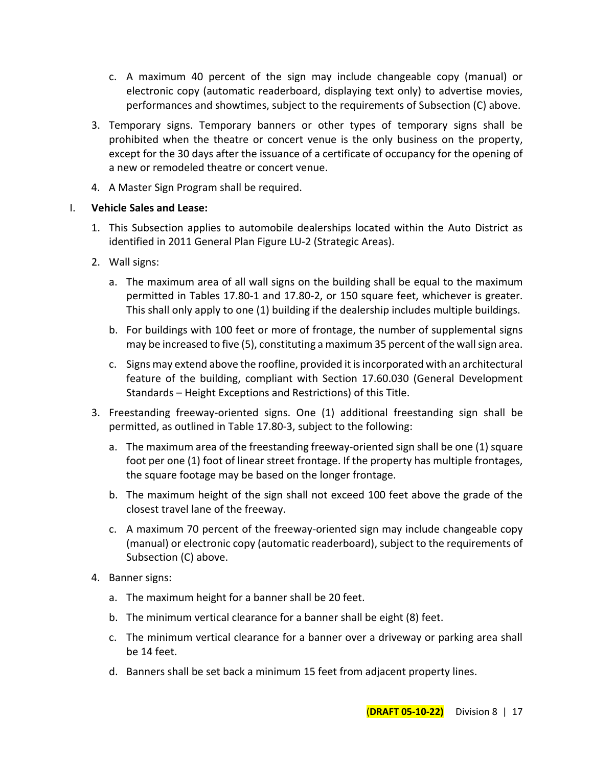- c. A maximum 40 percent of the sign may include changeable copy (manual) or electronic copy (automatic readerboard, displaying text only) to advertise movies, performances and showtimes, subject to the requirements of Subsection (C) above.
- 3. Temporary signs. Temporary banners or other types of temporary signs shall be prohibited when the theatre or concert venue is the only business on the property, except for the 30 days after the issuance of a certificate of occupancy for the opening of a new or remodeled theatre or concert venue.
- 4. A Master Sign Program shall be required.

## I. **Vehicle Sales and Lease:**

- 1. This Subsection applies to automobile dealerships located within the Auto District as identified in 2011 General Plan Figure LU-2 (Strategic Areas).
- 2. Wall signs:
	- a. The maximum area of all wall signs on the building shall be equal to the maximum permitted in Tables 17.80-1 and 17.80-2, or 150 square feet, whichever is greater. This shall only apply to one (1) building if the dealership includes multiple buildings.
	- b. For buildings with 100 feet or more of frontage, the number of supplemental signs may be increased to five (5), constituting a maximum 35 percent of the wall sign area.
	- c. Signs may extend above the roofline, provided it is incorporated with an architectural feature of the building, compliant with Section 17.60.030 (General Development Standards – Height Exceptions and Restrictions) of this Title.
- 3. Freestanding freeway-oriented signs. One (1) additional freestanding sign shall be permitted, as outlined in Table 17.80-3, subject to the following:
	- a. The maximum area of the freestanding freeway-oriented sign shall be one (1) square foot per one (1) foot of linear street frontage. If the property has multiple frontages, the square footage may be based on the longer frontage.
	- b. The maximum height of the sign shall not exceed 100 feet above the grade of the closest travel lane of the freeway.
	- c. A maximum 70 percent of the freeway-oriented sign may include changeable copy (manual) or electronic copy (automatic readerboard), subject to the requirements of Subsection (C) above.
- 4. Banner signs:
	- a. The maximum height for a banner shall be 20 feet.
	- b. The minimum vertical clearance for a banner shall be eight (8) feet.
	- c. The minimum vertical clearance for a banner over a driveway or parking area shall be 14 feet.
	- d. Banners shall be set back a minimum 15 feet from adjacent property lines.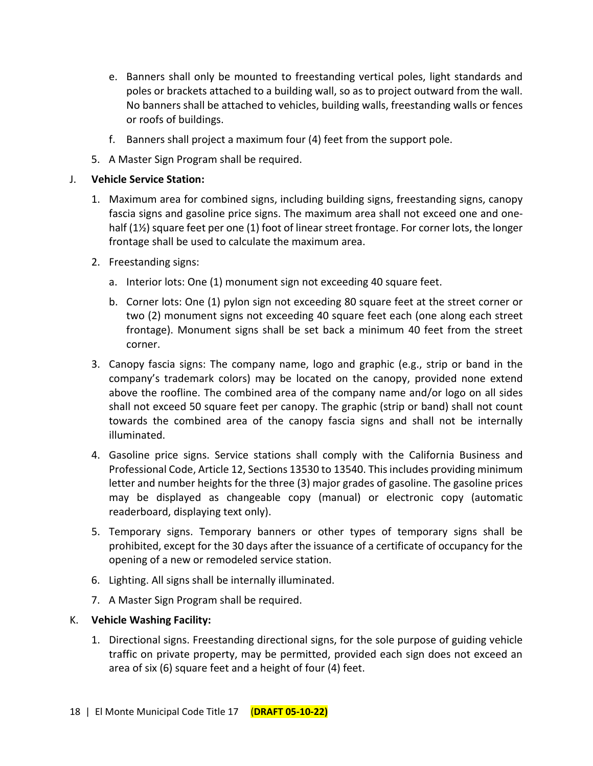- e. Banners shall only be mounted to freestanding vertical poles, light standards and poles or brackets attached to a building wall, so as to project outward from the wall. No banners shall be attached to vehicles, building walls, freestanding walls or fences or roofs of buildings.
- f. Banners shall project a maximum four (4) feet from the support pole.
- 5. A Master Sign Program shall be required.

#### J. **Vehicle Service Station:**

- 1. Maximum area for combined signs, including building signs, freestanding signs, canopy fascia signs and gasoline price signs. The maximum area shall not exceed one and onehalf (1½) square feet per one (1) foot of linear street frontage. For corner lots, the longer frontage shall be used to calculate the maximum area.
- 2. Freestanding signs:
	- a. Interior lots: One (1) monument sign not exceeding 40 square feet.
	- b. Corner lots: One (1) pylon sign not exceeding 80 square feet at the street corner or two (2) monument signs not exceeding 40 square feet each (one along each street frontage). Monument signs shall be set back a minimum 40 feet from the street corner.
- 3. Canopy fascia signs: The company name, logo and graphic (e.g., strip or band in the company's trademark colors) may be located on the canopy, provided none extend above the roofline. The combined area of the company name and/or logo on all sides shall not exceed 50 square feet per canopy. The graphic (strip or band) shall not count towards the combined area of the canopy fascia signs and shall not be internally illuminated.
- 4. Gasoline price signs. Service stations shall comply with the California Business and Professional Code, Article 12, Sections 13530 to 13540. This includes providing minimum letter and number heights for the three (3) major grades of gasoline. The gasoline prices may be displayed as changeable copy (manual) or electronic copy (automatic readerboard, displaying text only).
- 5. Temporary signs. Temporary banners or other types of temporary signs shall be prohibited, except for the 30 days after the issuance of a certificate of occupancy for the opening of a new or remodeled service station.
- 6. Lighting. All signs shall be internally illuminated.
- 7. A Master Sign Program shall be required.

#### K. **Vehicle Washing Facility:**

1. Directional signs. Freestanding directional signs, for the sole purpose of guiding vehicle traffic on private property, may be permitted, provided each sign does not exceed an area of six (6) square feet and a height of four (4) feet.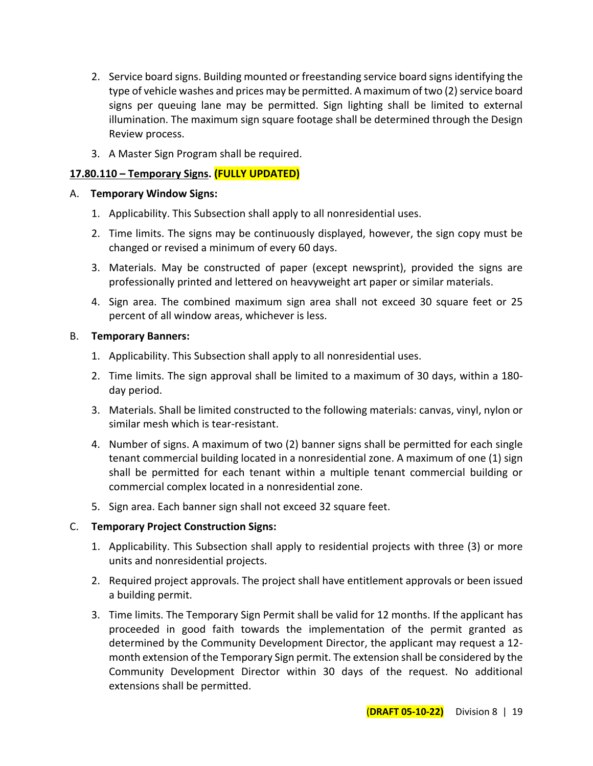- 2. Service board signs. Building mounted or freestanding service board signs identifying the type of vehicle washes and prices may be permitted. A maximum of two (2) service board signs per queuing lane may be permitted. Sign lighting shall be limited to external illumination. The maximum sign square footage shall be determined through the Design Review process.
- 3. A Master Sign Program shall be required.

## **17.80.110 – Temporary Signs. (FULLY UPDATED)**

#### A. **Temporary Window Signs:**

- 1. Applicability. This Subsection shall apply to all nonresidential uses.
- 2. Time limits. The signs may be continuously displayed, however, the sign copy must be changed or revised a minimum of every 60 days.
- 3. Materials. May be constructed of paper (except newsprint), provided the signs are professionally printed and lettered on heavyweight art paper or similar materials.
- 4. Sign area. The combined maximum sign area shall not exceed 30 square feet or 25 percent of all window areas, whichever is less.

## B. **Temporary Banners:**

- 1. Applicability. This Subsection shall apply to all nonresidential uses.
- 2. Time limits. The sign approval shall be limited to a maximum of 30 days, within a 180 day period.
- 3. Materials. Shall be limited constructed to the following materials: canvas, vinyl, nylon or similar mesh which is tear-resistant.
- 4. Number of signs. A maximum of two (2) banner signs shall be permitted for each single tenant commercial building located in a nonresidential zone. A maximum of one (1) sign shall be permitted for each tenant within a multiple tenant commercial building or commercial complex located in a nonresidential zone.
- 5. Sign area. Each banner sign shall not exceed 32 square feet.

## C. **Temporary Project Construction Signs:**

- 1. Applicability. This Subsection shall apply to residential projects with three (3) or more units and nonresidential projects.
- 2. Required project approvals. The project shall have entitlement approvals or been issued a building permit.
- 3. Time limits. The Temporary Sign Permit shall be valid for 12 months. If the applicant has proceeded in good faith towards the implementation of the permit granted as determined by the Community Development Director, the applicant may request a 12 month extension of the Temporary Sign permit. The extension shall be considered by the Community Development Director within 30 days of the request. No additional extensions shall be permitted.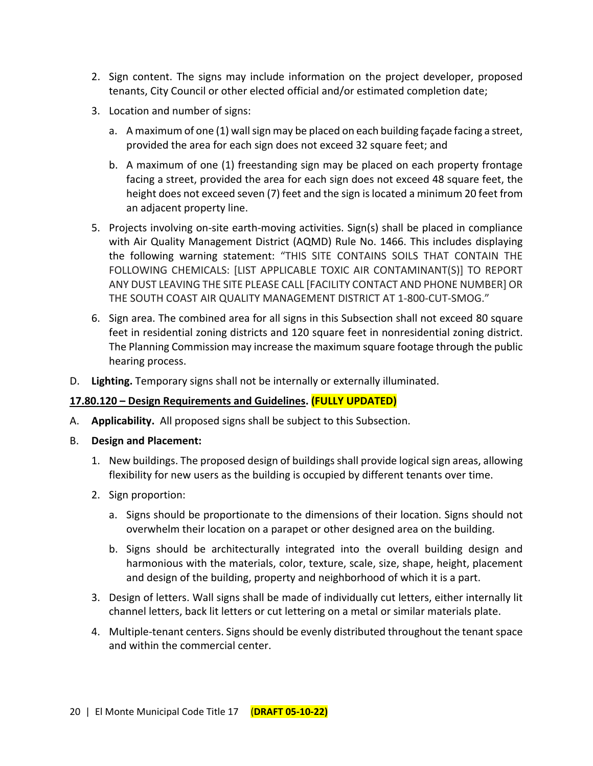- 2. Sign content. The signs may include information on the project developer, proposed tenants, City Council or other elected official and/or estimated completion date;
- 3. Location and number of signs:
	- a. A maximum of one (1) wall sign may be placed on each building façade facing a street, provided the area for each sign does not exceed 32 square feet; and
	- b. A maximum of one (1) freestanding sign may be placed on each property frontage facing a street, provided the area for each sign does not exceed 48 square feet, the height does not exceed seven (7) feet and the sign is located a minimum 20 feet from an adjacent property line.
- 5. Projects involving on-site earth-moving activities. Sign(s) shall be placed in compliance with Air Quality Management District (AQMD) Rule No. 1466. This includes displaying the following warning statement: "THIS SITE CONTAINS SOILS THAT CONTAIN THE FOLLOWING CHEMICALS: [LIST APPLICABLE TOXIC AIR CONTAMINANT(S)] TO REPORT ANY DUST LEAVING THE SITE PLEASE CALL [FACILITY CONTACT AND PHONE NUMBER] OR THE SOUTH COAST AIR QUALITY MANAGEMENT DISTRICT AT 1-800-CUT-SMOG."
- 6. Sign area. The combined area for all signs in this Subsection shall not exceed 80 square feet in residential zoning districts and 120 square feet in nonresidential zoning district. The Planning Commission may increase the maximum square footage through the public hearing process.
- D. **Lighting.** Temporary signs shall not be internally or externally illuminated.

## **17.80.120 – Design Requirements and Guidelines. (FULLY UPDATED)**

- A. **Applicability.** All proposed signs shall be subject to this Subsection.
- B. **Design and Placement:**
	- 1. New buildings. The proposed design of buildings shall provide logical sign areas, allowing flexibility for new users as the building is occupied by different tenants over time.
	- 2. Sign proportion:
		- a. Signs should be proportionate to the dimensions of their location. Signs should not overwhelm their location on a parapet or other designed area on the building.
		- b. Signs should be architecturally integrated into the overall building design and harmonious with the materials, color, texture, scale, size, shape, height, placement and design of the building, property and neighborhood of which it is a part.
	- 3. Design of letters. Wall signs shall be made of individually cut letters, either internally lit channel letters, back lit letters or cut lettering on a metal or similar materials plate.
	- 4. Multiple-tenant centers. Signs should be evenly distributed throughout the tenant space and within the commercial center.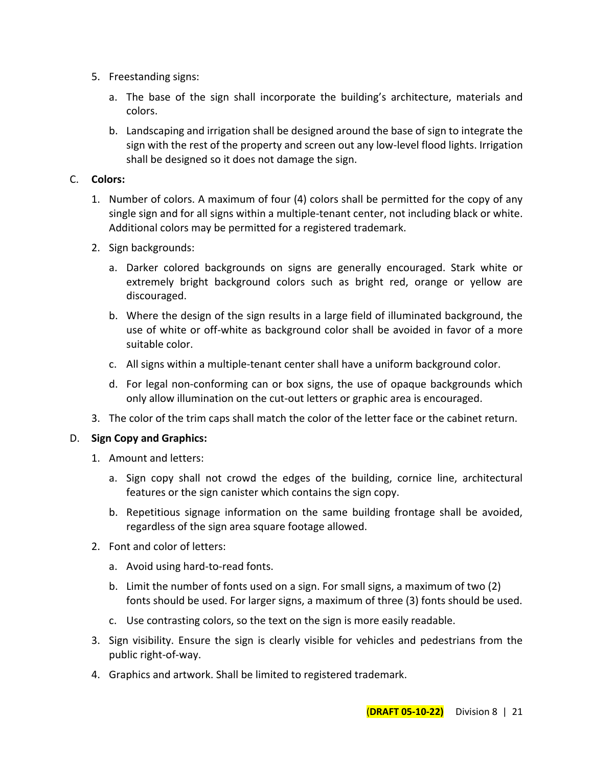- 5. Freestanding signs:
	- a. The base of the sign shall incorporate the building's architecture, materials and colors.
	- b. Landscaping and irrigation shall be designed around the base of sign to integrate the sign with the rest of the property and screen out any low-level flood lights. Irrigation shall be designed so it does not damage the sign.

## C. **Colors:**

- 1. Number of colors. A maximum of four (4) colors shall be permitted for the copy of any single sign and for all signs within a multiple-tenant center, not including black or white. Additional colors may be permitted for a registered trademark.
- 2. Sign backgrounds:
	- a. Darker colored backgrounds on signs are generally encouraged. Stark white or extremely bright background colors such as bright red, orange or yellow are discouraged.
	- b. Where the design of the sign results in a large field of illuminated background, the use of white or off-white as background color shall be avoided in favor of a more suitable color.
	- c. All signs within a multiple-tenant center shall have a uniform background color.
	- d. For legal non-conforming can or box signs, the use of opaque backgrounds which only allow illumination on the cut-out letters or graphic area is encouraged.
- 3. The color of the trim caps shall match the color of the letter face or the cabinet return.

## D. **Sign Copy and Graphics:**

- 1. Amount and letters:
	- a. Sign copy shall not crowd the edges of the building, cornice line, architectural features or the sign canister which contains the sign copy.
	- b. Repetitious signage information on the same building frontage shall be avoided, regardless of the sign area square footage allowed.
- 2. Font and color of letters:
	- a. Avoid using hard-to-read fonts.
	- b. Limit the number of fonts used on a sign. For small signs, a maximum of two (2) fonts should be used. For larger signs, a maximum of three (3) fonts should be used.
	- c. Use contrasting colors, so the text on the sign is more easily readable.
- 3. Sign visibility. Ensure the sign is clearly visible for vehicles and pedestrians from the public right-of-way.
- 4. Graphics and artwork. Shall be limited to registered trademark.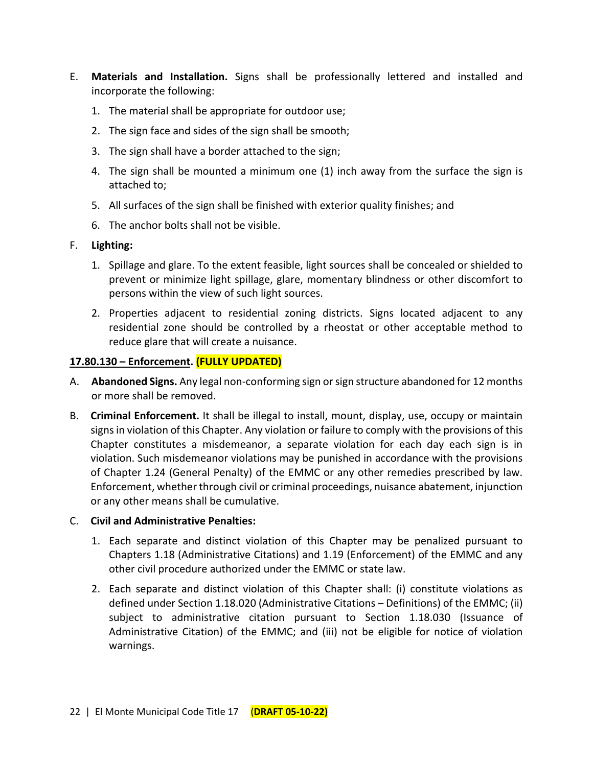- E. **Materials and Installation.** Signs shall be professionally lettered and installed and incorporate the following:
	- 1. The material shall be appropriate for outdoor use;
	- 2. The sign face and sides of the sign shall be smooth;
	- 3. The sign shall have a border attached to the sign;
	- 4. The sign shall be mounted a minimum one (1) inch away from the surface the sign is attached to;
	- 5. All surfaces of the sign shall be finished with exterior quality finishes; and
	- 6. The anchor bolts shall not be visible.

## F. **Lighting:**

- 1. Spillage and glare. To the extent feasible, light sources shall be concealed or shielded to prevent or minimize light spillage, glare, momentary blindness or other discomfort to persons within the view of such light sources.
- 2. Properties adjacent to residential zoning districts. Signs located adjacent to any residential zone should be controlled by a rheostat or other acceptable method to reduce glare that will create a nuisance.

## **17.80.130 – Enforcement. (FULLY UPDATED)**

- A. **Abandoned Signs.** Any legal non-conforming sign or sign structure abandoned for 12 months or more shall be removed.
- B. **Criminal Enforcement.** It shall be illegal to install, mount, display, use, occupy or maintain signs in violation of this Chapter. Any violation or failure to comply with the provisions of this Chapter constitutes a misdemeanor, a separate violation for each day each sign is in violation. Such misdemeanor violations may be punished in accordance with the provisions of Chapter 1.24 (General Penalty) of the EMMC or any other remedies prescribed by law. Enforcement, whether through civil or criminal proceedings, nuisance abatement, injunction or any other means shall be cumulative.

#### C. **Civil and Administrative Penalties:**

- 1. Each separate and distinct violation of this Chapter may be penalized pursuant to Chapters 1.18 (Administrative Citations) and 1.19 (Enforcement) of the EMMC and any other civil procedure authorized under the EMMC or state law.
- 2. Each separate and distinct violation of this Chapter shall: (i) constitute violations as defined under Section 1.18.020 (Administrative Citations – Definitions) of the EMMC; (ii) subject to administrative citation pursuant to Section 1.18.030 (Issuance of Administrative Citation) of the EMMC; and (iii) not be eligible for notice of violation warnings.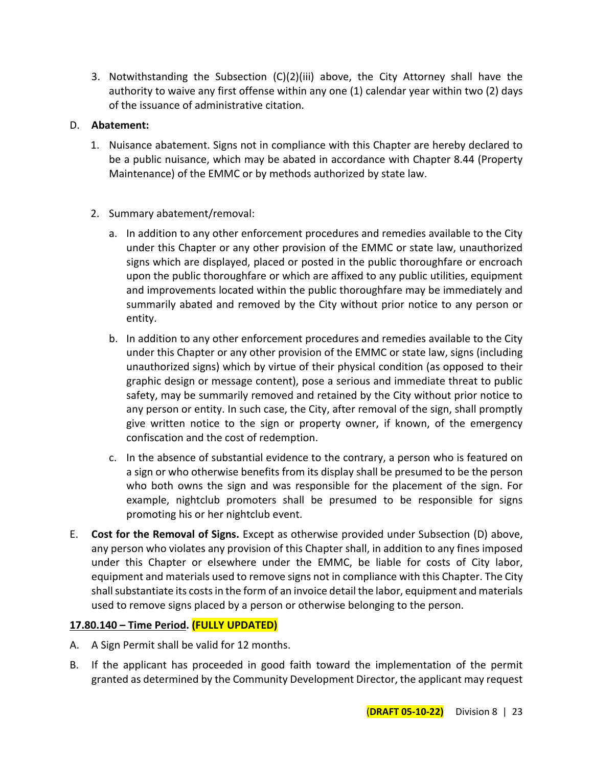3. Notwithstanding the Subsection (C)(2)(iii) above, the City Attorney shall have the authority to waive any first offense within any one (1) calendar year within two (2) days of the issuance of administrative citation.

## D. **Abatement:**

- 1. Nuisance abatement. Signs not in compliance with this Chapter are hereby declared to be a public nuisance, which may be abated in accordance with Chapter 8.44 (Property Maintenance) of the EMMC or by methods authorized by state law.
- 2. Summary abatement/removal:
	- a. In addition to any other enforcement procedures and remedies available to the City under this Chapter or any other provision of the EMMC or state law, unauthorized signs which are displayed, placed or posted in the public thoroughfare or encroach upon the public thoroughfare or which are affixed to any public utilities, equipment and improvements located within the public thoroughfare may be immediately and summarily abated and removed by the City without prior notice to any person or entity.
	- b. In addition to any other enforcement procedures and remedies available to the City under this Chapter or any other provision of the EMMC or state law, signs (including unauthorized signs) which by virtue of their physical condition (as opposed to their graphic design or message content), pose a serious and immediate threat to public safety, may be summarily removed and retained by the City without prior notice to any person or entity. In such case, the City, after removal of the sign, shall promptly give written notice to the sign or property owner, if known, of the emergency confiscation and the cost of redemption.
	- c. In the absence of substantial evidence to the contrary, a person who is featured on a sign or who otherwise benefits from its display shall be presumed to be the person who both owns the sign and was responsible for the placement of the sign. For example, nightclub promoters shall be presumed to be responsible for signs promoting his or her nightclub event.
- E. **Cost for the Removal of Signs.** Except as otherwise provided under Subsection (D) above, any person who violates any provision of this Chapter shall, in addition to any fines imposed under this Chapter or elsewhere under the EMMC, be liable for costs of City labor, equipment and materials used to remove signs not in compliance with this Chapter. The City shall substantiate its costs in the form of an invoice detail the labor, equipment and materials used to remove signs placed by a person or otherwise belonging to the person.

## **17.80.140 – Time Period. (FULLY UPDATED)**

- A. A Sign Permit shall be valid for 12 months.
- B. If the applicant has proceeded in good faith toward the implementation of the permit granted as determined by the Community Development Director, the applicant may request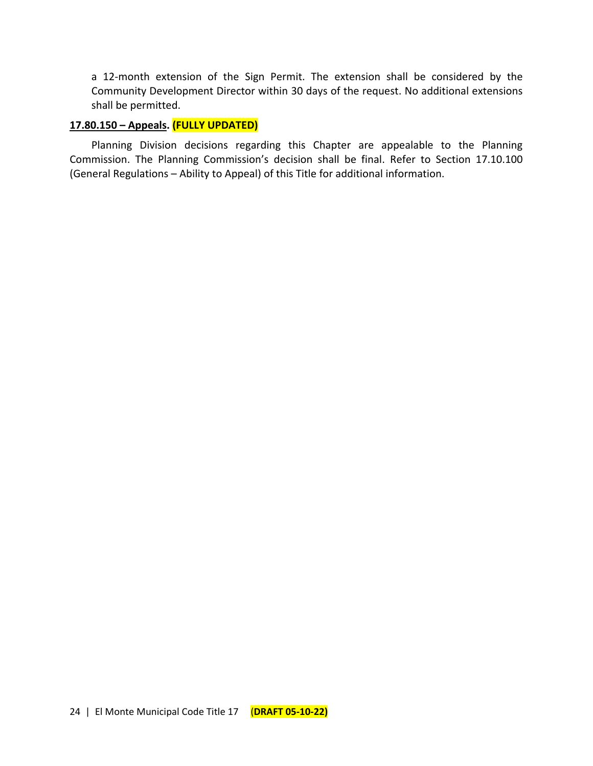a 12-month extension of the Sign Permit. The extension shall be considered by the Community Development Director within 30 days of the request. No additional extensions shall be permitted.

## **17.80.150 – Appeals. (FULLY UPDATED)**

Planning Division decisions regarding this Chapter are appealable to the Planning Commission. The Planning Commission's decision shall be final. Refer to Section 17.10.100 (General Regulations – Ability to Appeal) of this Title for additional information.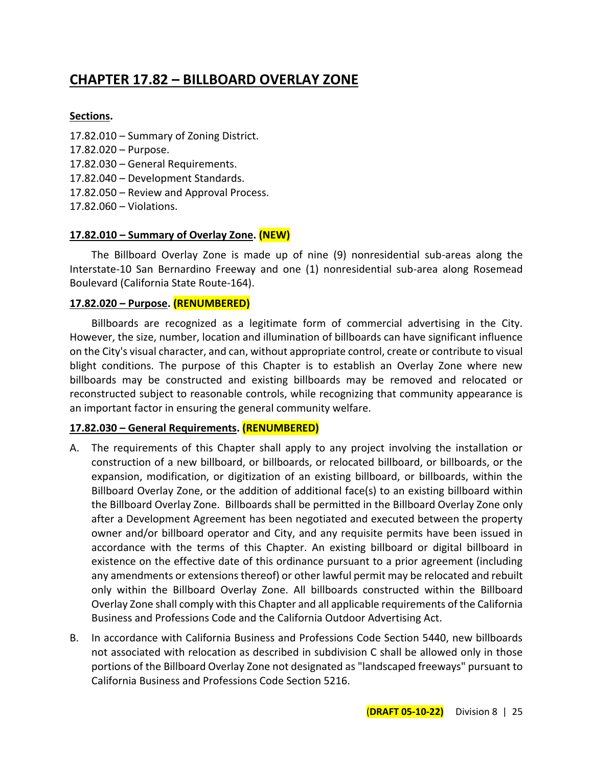## **CHAPTER 17.82 – BILLBOARD OVERLAY ZONE**

## **Sections.**

- 17.82.010 Summary of Zoning District.
- 17.82.020 Purpose.
- 17.82.030 General Requirements.
- 17.82.040 Development Standards.
- 17.82.050 Review and Approval Process.
- 17.82.060 Violations.

#### **17.82.010 – Summary of Overlay Zone. (NEW)**

The Billboard Overlay Zone is made up of nine (9) nonresidential sub-areas along the Interstate-10 San Bernardino Freeway and one (1) nonresidential sub-area along Rosemead Boulevard (California State Route-164).

#### **17.82.020 – Purpose. (RENUMBERED)**

Billboards are recognized as a legitimate form of commercial advertising in the City. However, the size, number, location and illumination of billboards can have significant influence on the City's visual character, and can, without appropriate control, create or contribute to visual blight conditions. The purpose of this Chapter is to establish an Overlay Zone where new billboards may be constructed and existing billboards may be removed and relocated or reconstructed subject to reasonable controls, while recognizing that community appearance is an important factor in ensuring the general community welfare.

## **17.82.030 – General Requirements. (RENUMBERED)**

- A. The requirements of this Chapter shall apply to any project involving the installation or construction of a new billboard, or billboards, or relocated billboard, or billboards, or the expansion, modification, or digitization of an existing billboard, or billboards, within the Billboard Overlay Zone, or the addition of additional face(s) to an existing billboard within the Billboard Overlay Zone. Billboards shall be permitted in the Billboard Overlay Zone only after a Development Agreement has been negotiated and executed between the property owner and/or billboard operator and City, and any requisite permits have been issued in accordance with the terms of this Chapter. An existing billboard or digital billboard in existence on the effective date of this ordinance pursuant to a prior agreement (including any amendments or extensions thereof) or other lawful permit may be relocated and rebuilt only within the Billboard Overlay Zone. All billboards constructed within the Billboard Overlay Zone shall comply with this Chapter and all applicable requirements of the California Business and Professions Code and the California Outdoor Advertising Act.
- B. In accordance with California Business and Professions Code Section 5440, new billboards not associated with relocation as described in subdivision C shall be allowed only in those portions of the Billboard Overlay Zone not designated as "landscaped freeways" pursuant to California Business and Professions Code Section 5216.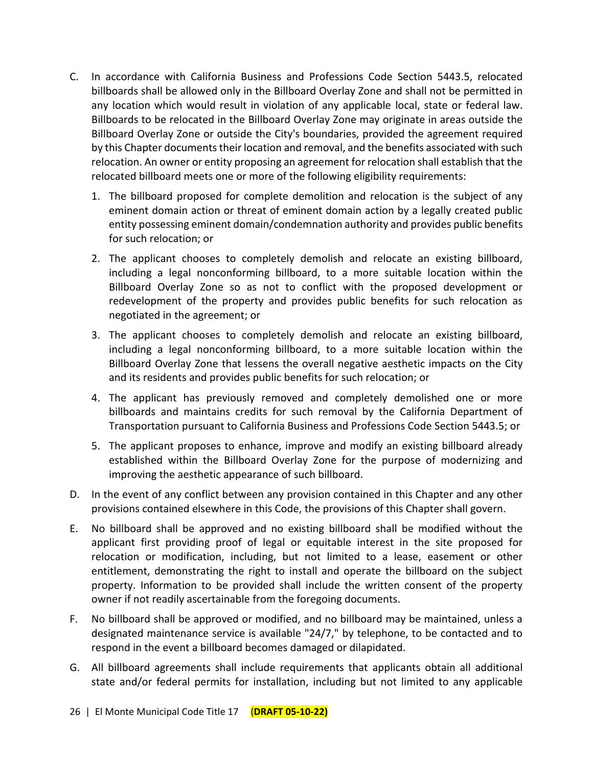- C. In accordance with California Business and Professions Code Section 5443.5, relocated billboards shall be allowed only in the Billboard Overlay Zone and shall not be permitted in any location which would result in violation of any applicable local, state or federal law. Billboards to be relocated in the Billboard Overlay Zone may originate in areas outside the Billboard Overlay Zone or outside the City's boundaries, provided the agreement required by this Chapter documents their location and removal, and the benefits associated with such relocation. An owner or entity proposing an agreement for relocation shall establish that the relocated billboard meets one or more of the following eligibility requirements:
	- 1. The billboard proposed for complete demolition and relocation is the subject of any eminent domain action or threat of eminent domain action by a legally created public entity possessing eminent domain/condemnation authority and provides public benefits for such relocation; or
	- 2. The applicant chooses to completely demolish and relocate an existing billboard, including a legal nonconforming billboard, to a more suitable location within the Billboard Overlay Zone so as not to conflict with the proposed development or redevelopment of the property and provides public benefits for such relocation as negotiated in the agreement; or
	- 3. The applicant chooses to completely demolish and relocate an existing billboard, including a legal nonconforming billboard, to a more suitable location within the Billboard Overlay Zone that lessens the overall negative aesthetic impacts on the City and its residents and provides public benefits for such relocation; or
	- 4. The applicant has previously removed and completely demolished one or more billboards and maintains credits for such removal by the California Department of Transportation pursuant to California Business and Professions Code Section 5443.5; or
	- 5. The applicant proposes to enhance, improve and modify an existing billboard already established within the Billboard Overlay Zone for the purpose of modernizing and improving the aesthetic appearance of such billboard.
- D. In the event of any conflict between any provision contained in this Chapter and any other provisions contained elsewhere in this Code, the provisions of this Chapter shall govern.
- E. No billboard shall be approved and no existing billboard shall be modified without the applicant first providing proof of legal or equitable interest in the site proposed for relocation or modification, including, but not limited to a lease, easement or other entitlement, demonstrating the right to install and operate the billboard on the subject property. Information to be provided shall include the written consent of the property owner if not readily ascertainable from the foregoing documents.
- F. No billboard shall be approved or modified, and no billboard may be maintained, unless a designated maintenance service is available "24/7," by telephone, to be contacted and to respond in the event a billboard becomes damaged or dilapidated.
- G. All billboard agreements shall include requirements that applicants obtain all additional state and/or federal permits for installation, including but not limited to any applicable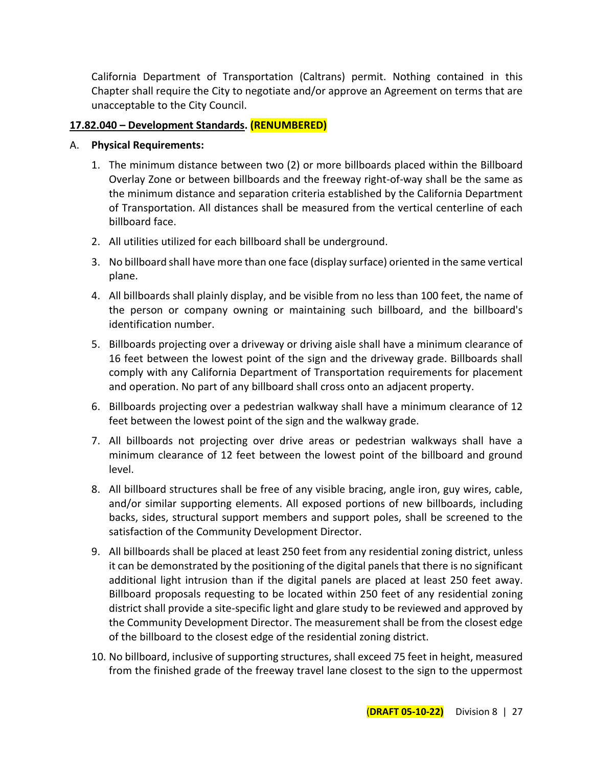California Department of Transportation (Caltrans) permit. Nothing contained in this Chapter shall require the City to negotiate and/or approve an Agreement on terms that are unacceptable to the City Council.

## **17.82.040 – Development Standards. (RENUMBERED)**

#### A. **Physical Requirements:**

- 1. The minimum distance between two (2) or more billboards placed within the Billboard Overlay Zone or between billboards and the freeway right-of-way shall be the same as the minimum distance and separation criteria established by the California Department of Transportation. All distances shall be measured from the vertical centerline of each billboard face.
- 2. All utilities utilized for each billboard shall be underground.
- 3. No billboard shall have more than one face (display surface) oriented in the same vertical plane.
- 4. All billboards shall plainly display, and be visible from no less than 100 feet, the name of the person or company owning or maintaining such billboard, and the billboard's identification number.
- 5. Billboards projecting over a driveway or driving aisle shall have a minimum clearance of 16 feet between the lowest point of the sign and the driveway grade. Billboards shall comply with any California Department of Transportation requirements for placement and operation. No part of any billboard shall cross onto an adjacent property.
- 6. Billboards projecting over a pedestrian walkway shall have a minimum clearance of 12 feet between the lowest point of the sign and the walkway grade.
- 7. All billboards not projecting over drive areas or pedestrian walkways shall have a minimum clearance of 12 feet between the lowest point of the billboard and ground level.
- 8. All billboard structures shall be free of any visible bracing, angle iron, guy wires, cable, and/or similar supporting elements. All exposed portions of new billboards, including backs, sides, structural support members and support poles, shall be screened to the satisfaction of the Community Development Director.
- 9. All billboards shall be placed at least 250 feet from any residential zoning district, unless it can be demonstrated by the positioning of the digital panels that there is no significant additional light intrusion than if the digital panels are placed at least 250 feet away. Billboard proposals requesting to be located within 250 feet of any residential zoning district shall provide a site-specific light and glare study to be reviewed and approved by the Community Development Director. The measurement shall be from the closest edge of the billboard to the closest edge of the residential zoning district.
- 10. No billboard, inclusive of supporting structures, shall exceed 75 feet in height, measured from the finished grade of the freeway travel lane closest to the sign to the uppermost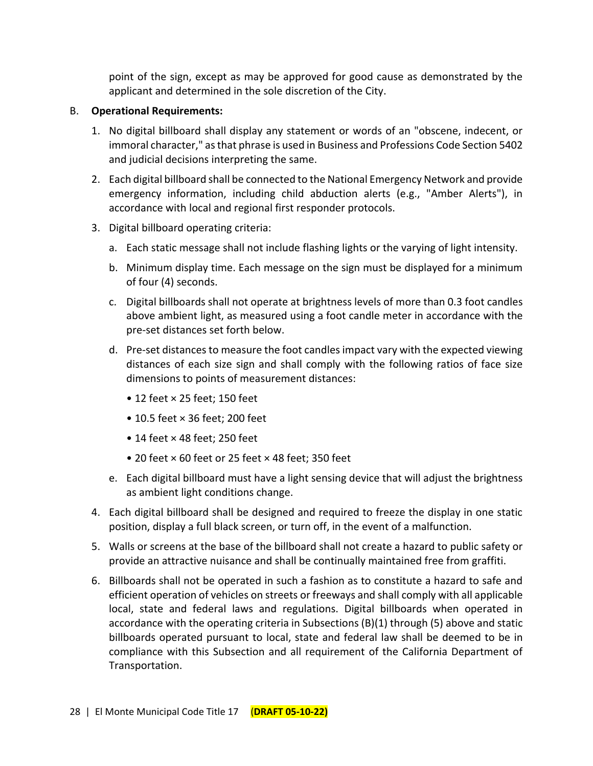point of the sign, except as may be approved for good cause as demonstrated by the applicant and determined in the sole discretion of the City.

## B. **Operational Requirements:**

- 1. No digital billboard shall display any statement or words of an "obscene, indecent, or immoral character," as that phrase is used in Business and Professions Code Section 5402 and judicial decisions interpreting the same.
- 2. Each digital billboard shall be connected to the National Emergency Network and provide emergency information, including child abduction alerts (e.g., "Amber Alerts"), in accordance with local and regional first responder protocols.
- 3. Digital billboard operating criteria:
	- a. Each static message shall not include flashing lights or the varying of light intensity.
	- b. Minimum display time. Each message on the sign must be displayed for a minimum of four (4) seconds.
	- c. Digital billboards shall not operate at brightness levels of more than 0.3 foot candles above ambient light, as measured using a foot candle meter in accordance with the pre-set distances set forth below.
	- d. Pre-set distances to measure the foot candles impact vary with the expected viewing distances of each size sign and shall comply with the following ratios of face size dimensions to points of measurement distances:
		- 12 feet × 25 feet; 150 feet
		- 10.5 feet × 36 feet; 200 feet
		- 14 feet × 48 feet; 250 feet
		- 20 feet × 60 feet or 25 feet × 48 feet; 350 feet
	- e. Each digital billboard must have a light sensing device that will adjust the brightness as ambient light conditions change.
- 4. Each digital billboard shall be designed and required to freeze the display in one static position, display a full black screen, or turn off, in the event of a malfunction.
- 5. Walls or screens at the base of the billboard shall not create a hazard to public safety or provide an attractive nuisance and shall be continually maintained free from graffiti.
- 6. Billboards shall not be operated in such a fashion as to constitute a hazard to safe and efficient operation of vehicles on streets or freeways and shall comply with all applicable local, state and federal laws and regulations. Digital billboards when operated in accordance with the operating criteria in Subsections (B)(1) through (5) above and static billboards operated pursuant to local, state and federal law shall be deemed to be in compliance with this Subsection and all requirement of the California Department of Transportation.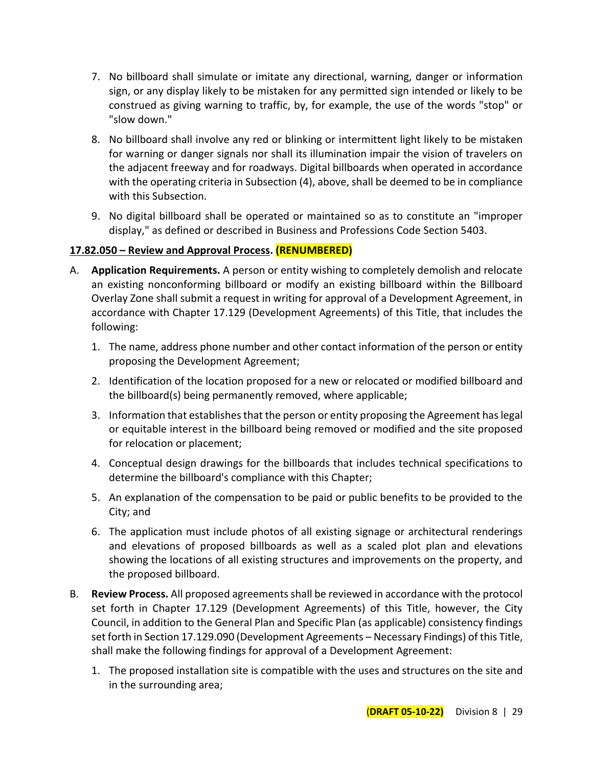- 7. No billboard shall simulate or imitate any directional, warning, danger or information sign, or any display likely to be mistaken for any permitted sign intended or likely to be construed as giving warning to traffic, by, for example, the use of the words "stop" or "slow down."
- 8. No billboard shall involve any red or blinking or intermittent light likely to be mistaken for warning or danger signals nor shall its illumination impair the vision of travelers on the adjacent freeway and for roadways. Digital billboards when operated in accordance with the operating criteria in Subsection (4), above, shall be deemed to be in compliance with this Subsection.
- 9. No digital billboard shall be operated or maintained so as to constitute an "improper display," as defined or described in Business and Professions Code Section 5403.

## **17.82.050 – Review and Approval Process. (RENUMBERED)**

- A. **Application Requirements.** A person or entity wishing to completely demolish and relocate an existing nonconforming billboard or modify an existing billboard within the Billboard Overlay Zone shall submit a request in writing for approval of a Development Agreement, in accordance with Chapter 17.129 (Development Agreements) of this Title, that includes the following:
	- 1. The name, address phone number and other contact information of the person or entity proposing the Development Agreement;
	- 2. Identification of the location proposed for a new or relocated or modified billboard and the billboard(s) being permanently removed, where applicable;
	- 3. Information that establishes that the person or entity proposing the Agreement has legal or equitable interest in the billboard being removed or modified and the site proposed for relocation or placement;
	- 4. Conceptual design drawings for the billboards that includes technical specifications to determine the billboard's compliance with this Chapter;
	- 5. An explanation of the compensation to be paid or public benefits to be provided to the City; and
	- 6. The application must include photos of all existing signage or architectural renderings and elevations of proposed billboards as well as a scaled plot plan and elevations showing the locations of all existing structures and improvements on the property, and the proposed billboard.
- B. **Review Process.** All proposed agreements shall be reviewed in accordance with the protocol set forth in Chapter 17.129 (Development Agreements) of this Title, however, the City Council, in addition to the General Plan and Specific Plan (as applicable) consistency findings set forth in Section 17.129.090 (Development Agreements – Necessary Findings) of this Title, shall make the following findings for approval of a Development Agreement:
	- 1. The proposed installation site is compatible with the uses and structures on the site and in the surrounding area;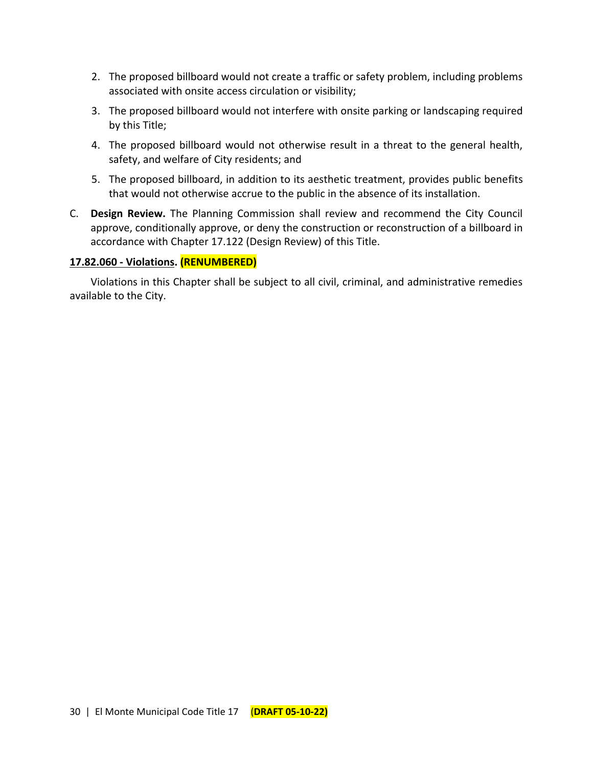- 2. The proposed billboard would not create a traffic or safety problem, including problems associated with onsite access circulation or visibility;
- 3. The proposed billboard would not interfere with onsite parking or landscaping required by this Title;
- 4. The proposed billboard would not otherwise result in a threat to the general health, safety, and welfare of City residents; and
- 5. The proposed billboard, in addition to its aesthetic treatment, provides public benefits that would not otherwise accrue to the public in the absence of its installation.
- C. **Design Review.** The Planning Commission shall review and recommend the City Council approve, conditionally approve, or deny the construction or reconstruction of a billboard in accordance with Chapter 17.122 (Design Review) of this Title.

## **17.82.060 - Violations. (RENUMBERED)**

Violations in this Chapter shall be subject to all civil, criminal, and administrative remedies available to the City.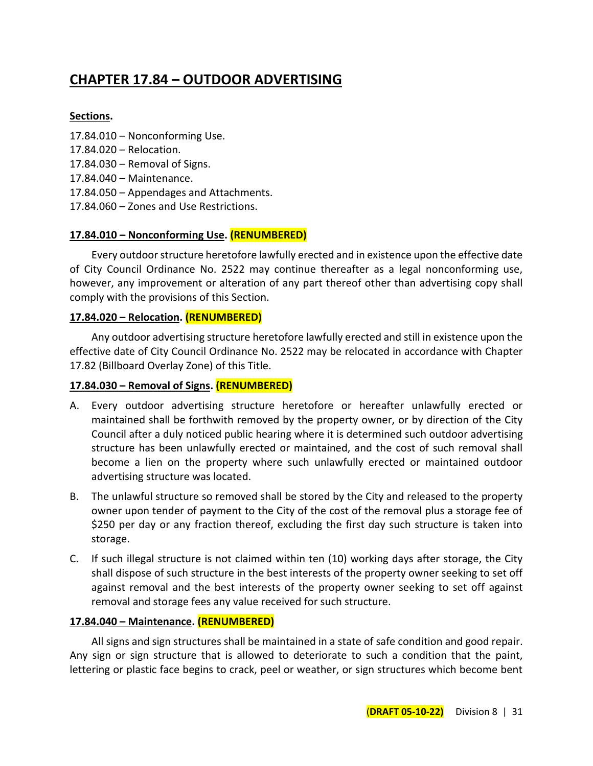## **CHAPTER 17.84 – OUTDOOR ADVERTISING**

#### **Sections.**

- 17.84.010 Nonconforming Use.
- 17.84.020 Relocation.
- 17.84.030 Removal of Signs.
- 17.84.040 Maintenance.
- 17.84.050 Appendages and Attachments.
- 17.84.060 Zones and Use Restrictions.

## **17.84.010 – Nonconforming Use. (RENUMBERED)**

Every outdoor structure heretofore lawfully erected and in existence upon the effective date of City Council Ordinance No. 2522 may continue thereafter as a legal nonconforming use, however, any improvement or alteration of any part thereof other than advertising copy shall comply with the provisions of this Section.

## **17.84.020 – Relocation. (RENUMBERED)**

Any outdoor advertising structure heretofore lawfully erected and still in existence upon the effective date of City Council Ordinance No. 2522 may be relocated in accordance with Chapter 17.82 (Billboard Overlay Zone) of this Title.

## **17.84.030 – Removal of Signs. (RENUMBERED)**

- A. Every outdoor advertising structure heretofore or hereafter unlawfully erected or maintained shall be forthwith removed by the property owner, or by direction of the City Council after a duly noticed public hearing where it is determined such outdoor advertising structure has been unlawfully erected or maintained, and the cost of such removal shall become a lien on the property where such unlawfully erected or maintained outdoor advertising structure was located.
- B. The unlawful structure so removed shall be stored by the City and released to the property owner upon tender of payment to the City of the cost of the removal plus a storage fee of \$250 per day or any fraction thereof, excluding the first day such structure is taken into storage.
- C. If such illegal structure is not claimed within ten (10) working days after storage, the City shall dispose of such structure in the best interests of the property owner seeking to set off against removal and the best interests of the property owner seeking to set off against removal and storage fees any value received for such structure.

#### **17.84.040 – Maintenance. (RENUMBERED)**

All signs and sign structures shall be maintained in a state of safe condition and good repair. Any sign or sign structure that is allowed to deteriorate to such a condition that the paint, lettering or plastic face begins to crack, peel or weather, or sign structures which become bent